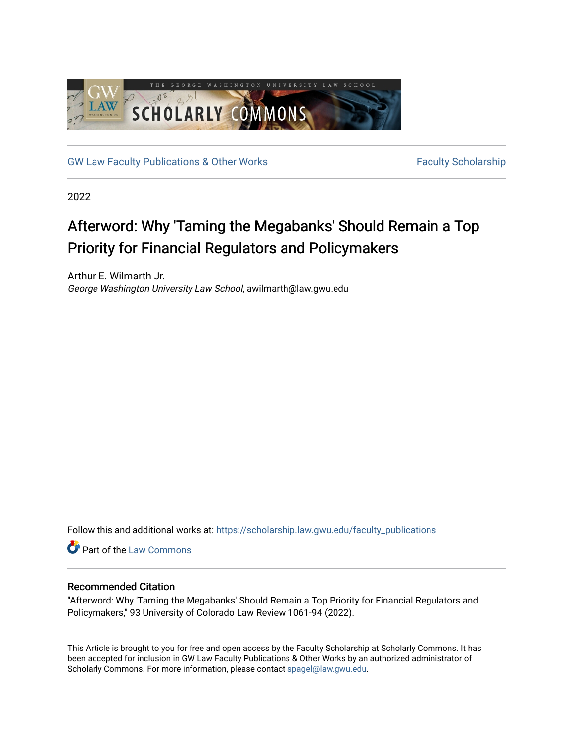

[GW Law Faculty Publications & Other Works](https://scholarship.law.gwu.edu/faculty_publications) Faculty Scholarship

2022

# Afterword: Why 'Taming the Megabanks' Should Remain a Top Priority for Financial Regulators and Policymakers

Arthur E. Wilmarth Jr. George Washington University Law School, awilmarth@law.gwu.edu

Follow this and additional works at: [https://scholarship.law.gwu.edu/faculty\\_publications](https://scholarship.law.gwu.edu/faculty_publications?utm_source=scholarship.law.gwu.edu%2Ffaculty_publications%2F1596&utm_medium=PDF&utm_campaign=PDFCoverPages) 

Part of the [Law Commons](https://network.bepress.com/hgg/discipline/578?utm_source=scholarship.law.gwu.edu%2Ffaculty_publications%2F1596&utm_medium=PDF&utm_campaign=PDFCoverPages)

## Recommended Citation

"Afterword: Why 'Taming the Megabanks' Should Remain a Top Priority for Financial Regulators and Policymakers," 93 University of Colorado Law Review 1061-94 (2022).

This Article is brought to you for free and open access by the Faculty Scholarship at Scholarly Commons. It has been accepted for inclusion in GW Law Faculty Publications & Other Works by an authorized administrator of Scholarly Commons. For more information, please contact [spagel@law.gwu.edu](mailto:spagel@law.gwu.edu).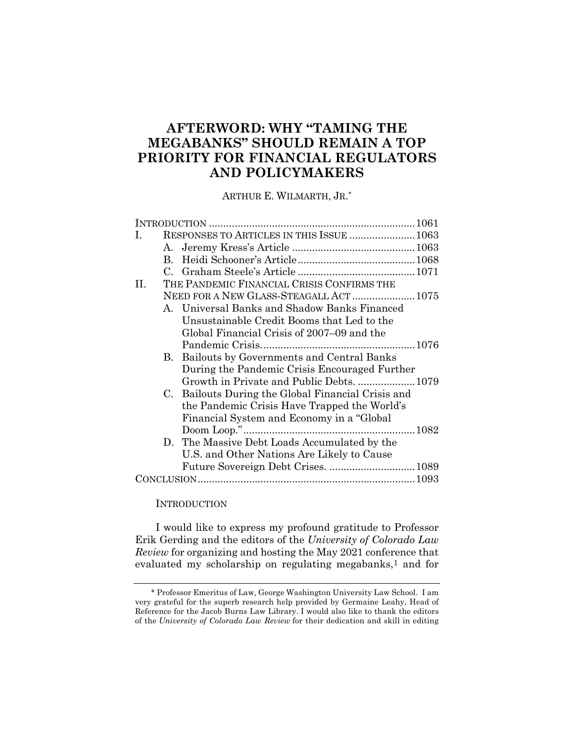## **AFTERWORD: WHY "TAMING THE MEGABANKS" SHOULD REMAIN A TOP PRIORITY FOR FINANCIAL REGULATORS AND POLICYMAKERS**

ARTHUR E. WILMARTH, JR. \*

| L. |              | RESPONSES TO ARTICLES IN THIS ISSUE  1063       |  |
|----|--------------|-------------------------------------------------|--|
|    |              |                                                 |  |
|    | $\mathbf{B}$ |                                                 |  |
|    |              |                                                 |  |
| H. |              | THE PANDEMIC FINANCIAL CRISIS CONFIRMS THE      |  |
|    |              | NEED FOR A NEW GLASS-STEAGALL ACT  1075         |  |
|    |              | A. Universal Banks and Shadow Banks Financed    |  |
|    |              | Unsustainable Credit Booms that Led to the      |  |
|    |              | Global Financial Crisis of 2007–09 and the      |  |
|    |              |                                                 |  |
|    | B.           | Bailouts by Governments and Central Banks       |  |
|    |              | During the Pandemic Crisis Encouraged Further   |  |
|    |              | Growth in Private and Public Debts.  1079       |  |
|    | C.           | Bailouts During the Global Financial Crisis and |  |
|    |              | the Pandemic Crisis Have Trapped the World's    |  |
|    |              | Financial System and Economy in a "Global"      |  |
|    |              |                                                 |  |
|    |              | D. The Massive Debt Loads Accumulated by the    |  |
|    |              | U.S. and Other Nations Are Likely to Cause      |  |
|    |              |                                                 |  |
|    |              |                                                 |  |
|    |              |                                                 |  |

#### **INTRODUCTION**

I would like to express my profound gratitude to Professor Erik Gerding and the editors of the *University of Colorado Law Review* for organizing and hosting the May 2021 conference that evaluated my scholarship on regulating megabanks, $1$  and for

<sup>\*</sup> Professor Emeritus of Law, George Washington University Law School. I am very grateful for the superb research help provided by Germaine Leahy, Head of Reference for the Jacob Burns Law Library. I would also like to thank the editors of the *University of Colorado Law Review* for their dedication and skill in editing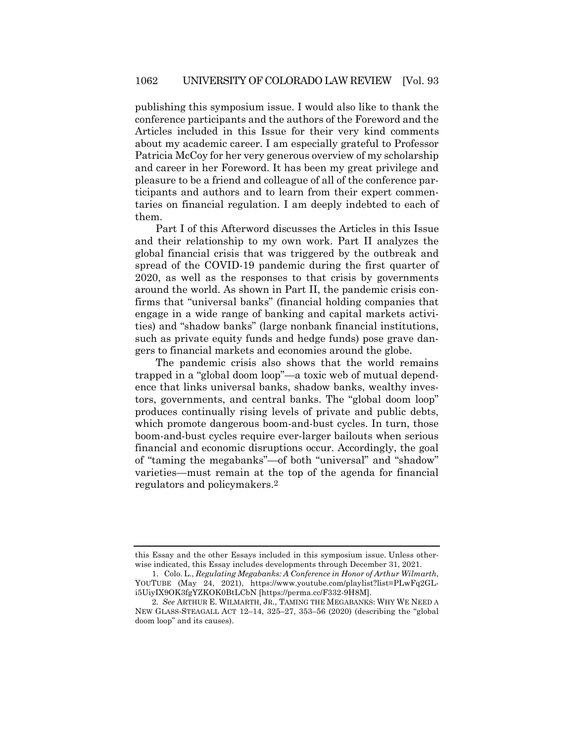publishing this symposium issue. I would also like to thank the conference participants and the authors of the Foreword and the Articles included in this Issue for their very kind comments about my academic career. I am especially grateful to Professor Patricia McCoy for her very generous overview of my scholarship and career in her Foreword. It has been my great privilege and pleasure to be a friend and colleague of all of the conference participants and authors and to learn from their expert commentaries on financial regulation. I am deeply indebted to each of them.

Part I of this Afterword discusses the Articles in this Issue and their relationship to my own work. Part II analyzes the global financial crisis that was triggered by the outbreak and spread of the COVID-19 pandemic during the first quarter of 2020, as well as the responses to that crisis by governments around the world. As shown in Part II, the pandemic crisis confirms that "universal banks" (financial holding companies that engage in a wide range of banking and capital markets activities) and "shadow banks" (large nonbank financial institutions, such as private equity funds and hedge funds) pose grave dangers to financial markets and economies around the globe.

The pandemic crisis also shows that the world remains trapped in a "global doom loop"—a toxic web of mutual dependence that links universal banks, shadow banks, wealthy investors, governments, and central banks. The "global doom loop" produces continually rising levels of private and public debts, which promote dangerous boom-and-bust cycles. In turn, those boom-and-bust cycles require ever-larger bailouts when serious financial and economic disruptions occur. Accordingly, the goal of "taming the megabanks"—of both "universal" and "shadow" varieties—must remain at the top of the agenda for financial regulators and policymakers.2

this Essay and the other Essays included in this symposium issue. Unless otherwise indicated, this Essay includes developments through December 31, 2021.

<sup>1.</sup> Colo. L., *Regulating Megabanks: A Conference in Honor of Arthur Wilmarth*, YOUTUBE (May 24, 2021), https://www.youtube.com/playlist?list=PLwFq2GLi5UiyIX9OK3fgYZKOK0BtLCbN [https://perma.cc/F332-9H8M].

<sup>2</sup>*. See* ARTHUR E. WILMARTH, JR., TAMING THE MEGABANKS: WHY WE NEED A NEW GLASS-STEAGALL ACT 12–14, 325–27, 353–56 (2020) (describing the "global doom loop" and its causes).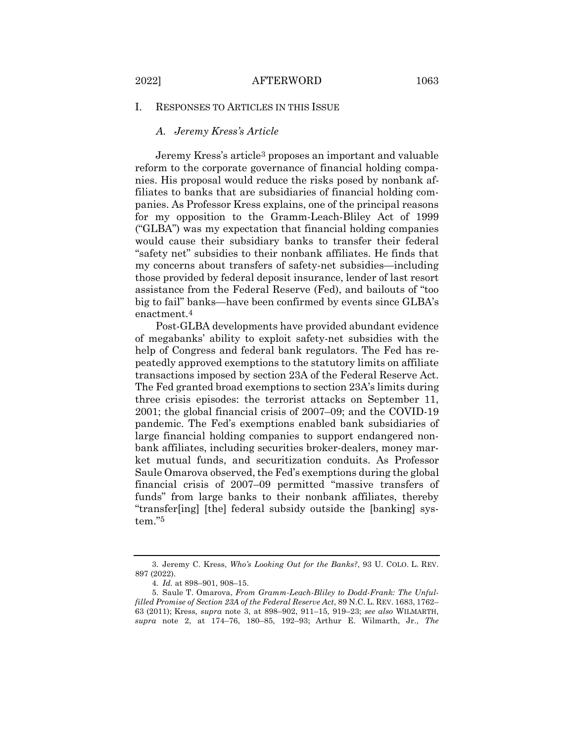#### *A. Jeremy Kress's Article*

Jeremy Kress's article3 proposes an important and valuable reform to the corporate governance of financial holding companies. His proposal would reduce the risks posed by nonbank affiliates to banks that are subsidiaries of financial holding companies. As Professor Kress explains, one of the principal reasons for my opposition to the Gramm-Leach-Bliley Act of 1999 ("GLBA") was my expectation that financial holding companies would cause their subsidiary banks to transfer their federal "safety net" subsidies to their nonbank affiliates. He finds that my concerns about transfers of safety-net subsidies—including those provided by federal deposit insurance, lender of last resort assistance from the Federal Reserve (Fed), and bailouts of "too big to fail" banks—have been confirmed by events since GLBA's enactment.4

Post-GLBA developments have provided abundant evidence of megabanks' ability to exploit safety-net subsidies with the help of Congress and federal bank regulators. The Fed has repeatedly approved exemptions to the statutory limits on affiliate transactions imposed by section 23A of the Federal Reserve Act. The Fed granted broad exemptions to section 23A's limits during three crisis episodes: the terrorist attacks on September 11, 2001; the global financial crisis of 2007–09; and the COVID-19 pandemic. The Fed's exemptions enabled bank subsidiaries of large financial holding companies to support endangered nonbank affiliates, including securities broker-dealers, money market mutual funds, and securitization conduits. As Professor Saule Omarova observed, the Fed's exemptions during the global financial crisis of 2007–09 permitted "massive transfers of funds" from large banks to their nonbank affiliates, thereby "transfer[ing] [the] federal subsidy outside the [banking] system."5

<sup>3.</sup> Jeremy C. Kress, *Who's Looking Out for the Banks?*, 93 U. COLO. L. REV. 897 (2022).

<sup>4</sup>*. Id.* at 898–901, 908–15.

<sup>5.</sup> Saule T. Omarova, *From Gramm-Leach-Bliley to Dodd-Frank: The Unfulfilled Promise of Section 23A of the Federal Reserve Act*, 89 N.C. L. REV. 1683, 1762– 63 (2011); Kress*, supra* note 3, at 898–902, 911–15, 919–23; *see also* WILMARTH, *supra* note 2, at 174–76, 180–85, 192–93; Arthur E. Wilmarth, Jr., *The*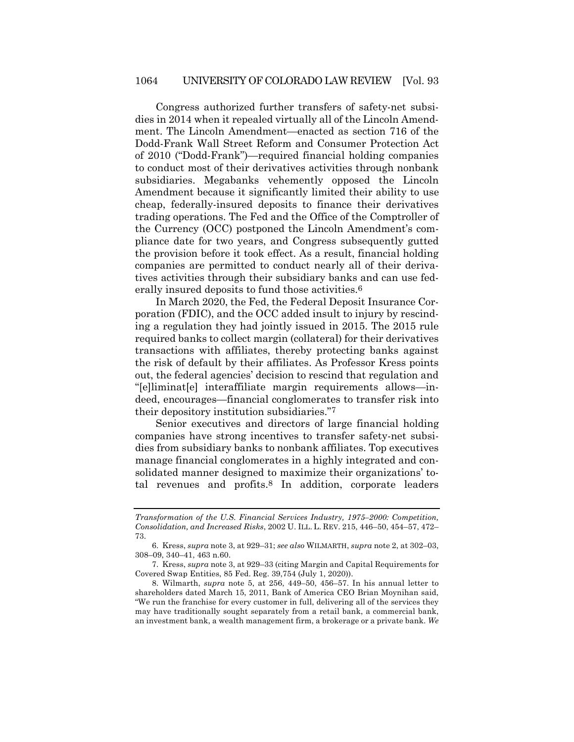Congress authorized further transfers of safety-net subsidies in 2014 when it repealed virtually all of the Lincoln Amendment. The Lincoln Amendment—enacted as section 716 of the Dodd-Frank Wall Street Reform and Consumer Protection Act of 2010 ("Dodd-Frank")—required financial holding companies to conduct most of their derivatives activities through nonbank subsidiaries. Megabanks vehemently opposed the Lincoln Amendment because it significantly limited their ability to use cheap, federally-insured deposits to finance their derivatives trading operations. The Fed and the Office of the Comptroller of the Currency (OCC) postponed the Lincoln Amendment's compliance date for two years, and Congress subsequently gutted the provision before it took effect. As a result, financial holding companies are permitted to conduct nearly all of their derivatives activities through their subsidiary banks and can use federally insured deposits to fund those activities.<sup>6</sup>

In March 2020, the Fed, the Federal Deposit Insurance Corporation (FDIC), and the OCC added insult to injury by rescinding a regulation they had jointly issued in 2015. The 2015 rule required banks to collect margin (collateral) for their derivatives transactions with affiliates, thereby protecting banks against the risk of default by their affiliates. As Professor Kress points out, the federal agencies' decision to rescind that regulation and "[e]liminat[e] interaffiliate margin requirements allows—indeed, encourages—financial conglomerates to transfer risk into their depository institution subsidiaries."7

Senior executives and directors of large financial holding companies have strong incentives to transfer safety-net subsidies from subsidiary banks to nonbank affiliates. Top executives manage financial conglomerates in a highly integrated and consolidated manner designed to maximize their organizations' total revenues and profits.8 In addition, corporate leaders

*Transformation of the U.S. Financial Services Industry, 1975–2000: Competition, Consolidation, and Increased Risks*, 2002 U. ILL. L. REV. 215, 446–50, 454–57, 472– 73.

<sup>6.</sup> Kress, *supra* note 3, at 929–31; *see also* WILMARTH, *supra* note 2, at 302–03, 308–09, 340–41, 463 n.60.

<sup>7.</sup> Kress, *supra* note 3, at 929–33 (citing Margin and Capital Requirements for Covered Swap Entities, 85 Fed. Reg. 39,754 (July 1, 2020)).

<sup>8.</sup> Wilmarth, *supra* note 5, at 256, 449–50, 456–57. In his annual letter to shareholders dated March 15, 2011, Bank of America CEO Brian Moynihan said, "We run the franchise for every customer in full, delivering all of the services they may have traditionally sought separately from a retail bank, a commercial bank, an investment bank, a wealth management firm, a brokerage or a private bank. *We*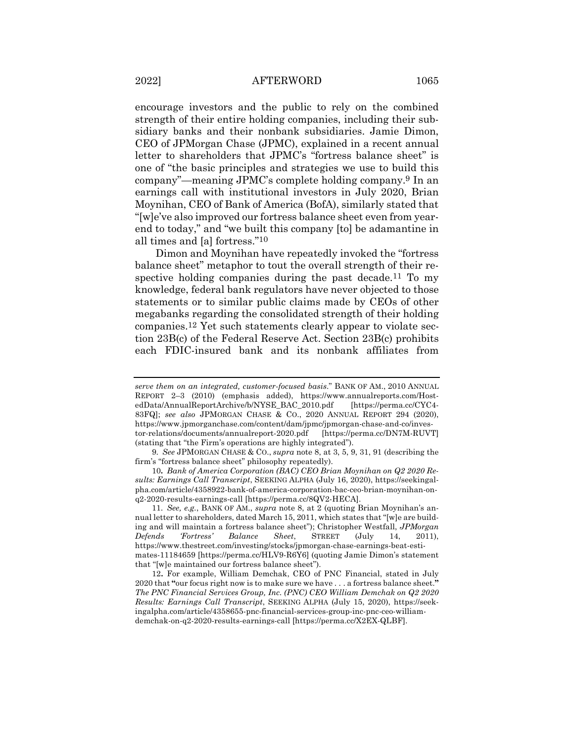encourage investors and the public to rely on the combined strength of their entire holding companies, including their subsidiary banks and their nonbank subsidiaries. Jamie Dimon, CEO of JPMorgan Chase (JPMC), explained in a recent annual letter to shareholders that JPMC's "fortress balance sheet" is one of "the basic principles and strategies we use to build this company"—meaning JPMC's complete holding company.9 In an earnings call with institutional investors in July 2020, Brian Moynihan, CEO of Bank of America (BofA), similarly stated that "[w]e've also improved our fortress balance sheet even from yearend to today," and "we built this company [to] be adamantine in all times and [a] fortress."10

Dimon and Moynihan have repeatedly invoked the "fortress balance sheet" metaphor to tout the overall strength of their respective holding companies during the past decade.<sup>11</sup> To my knowledge, federal bank regulators have never objected to those statements or to similar public claims made by CEOs of other megabanks regarding the consolidated strength of their holding companies.12 Yet such statements clearly appear to violate section 23B(c) of the Federal Reserve Act. Section 23B(c) prohibits each FDIC-insured bank and its nonbank affiliates from

*serve them on an integrated, customer-focused basis*." BANK OF AM., 2010 ANNUAL REPORT 2–3 (2010) (emphasis added), https://www.annualreports.com/HostedData/AnnualReportArchive/b/NYSE\_BAC\_2010.pdf [https://perma.cc/CYC4- 83FQ]; *see also* JPMORGAN CHASE & CO., 2020 ANNUAL REPORT 294 (2020), https://www.jpmorganchase.com/content/dam/jpmc/jpmorgan-chase-and-co/investor-relations/documents/annualreport-2020.pdf [https://perma.cc/DN7M-RUVT] (stating that "the Firm's operations are highly integrated").

<sup>9</sup>*. See* JPMORGAN CHASE & CO., *supra* note 8, at 3, 5, 9, 31, 91 (describing the firm's "fortress balance sheet" philosophy repeatedly).

<sup>10</sup>*. Bank of America Corporation (BAC) CEO Brian Moynihan on Q2 2020 Results: Earnings Call Transcript*, SEEKING ALPHA (July 16, 2020), https://seekingalpha.com/article/4358922-bank-of-america-corporation-bac-ceo-brian-moynihan-onq2-2020-results-earnings-call [https://perma.cc/8QV2-HECA].

<sup>11</sup>*. See, e.g.*, BANK OF AM., *supra* note 8, at 2 (quoting Brian Moynihan's annual letter to shareholders, dated March 15, 2011, which states that "[w]e are building and will maintain a fortress balance sheet"); Christopher Westfall, *JPMorgan Defends 'Fortress' Balance Sheet*, STREET (July 14, 2011), https://www.thestreet.com/investing/stocks/jpmorgan-chase-earnings-beat-estimates-11184659 [https://perma.cc/HLV9-R6Y6] (quoting Jamie Dimon's statement that "[w]e maintained our fortress balance sheet").

<sup>12</sup>**.** For example, William Demchak, CEO of PNC Financial, stated in July 2020 that **"**our focus right now is to make sure we have . . . a fortress balance sheet.**"** *The PNC Financial Services Group, Inc. (PNC) CEO William Demchak on Q2 2020 Results: Earnings Call Transcript*, SEEKING ALPHA (July 15, 2020), https://seekingalpha.com/article/4358655-pnc-financial-services-group-inc-pnc-ceo-williamdemchak-on-q2-2020-results-earnings-call [https://perma.cc/X2EX-QLBF].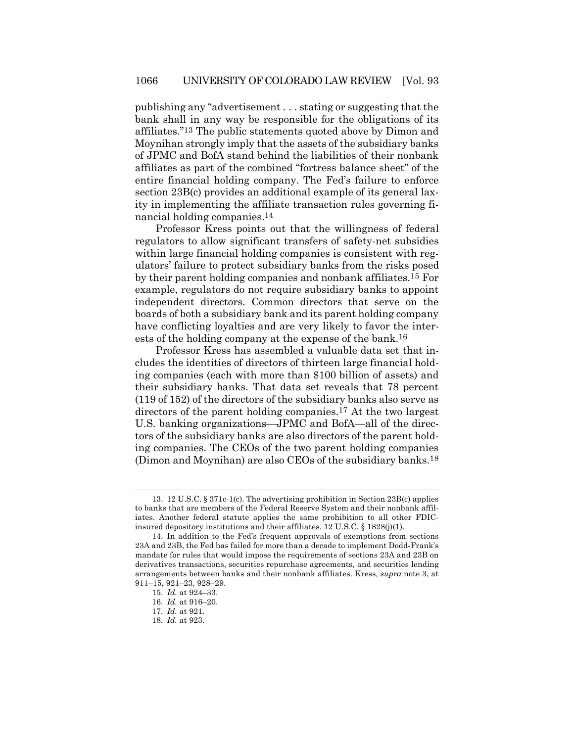publishing any "advertisement . . . stating or suggesting that the bank shall in any way be responsible for the obligations of its affiliates."13 The public statements quoted above by Dimon and Moynihan strongly imply that the assets of the subsidiary banks of JPMC and BofA stand behind the liabilities of their nonbank affiliates as part of the combined "fortress balance sheet" of the entire financial holding company. The Fed's failure to enforce section 23B(c) provides an additional example of its general laxity in implementing the affiliate transaction rules governing financial holding companies.14

Professor Kress points out that the willingness of federal regulators to allow significant transfers of safety-net subsidies within large financial holding companies is consistent with regulators' failure to protect subsidiary banks from the risks posed by their parent holding companies and nonbank affiliates.15 For example, regulators do not require subsidiary banks to appoint independent directors. Common directors that serve on the boards of both a subsidiary bank and its parent holding company have conflicting loyalties and are very likely to favor the interests of the holding company at the expense of the bank.16

Professor Kress has assembled a valuable data set that includes the identities of directors of thirteen large financial holding companies (each with more than \$100 billion of assets) and their subsidiary banks. That data set reveals that 78 percent (119 of 152) of the directors of the subsidiary banks also serve as directors of the parent holding companies.17 At the two largest U.S. banking organizations—JPMC and BofA—all of the directors of the subsidiary banks are also directors of the parent holding companies. The CEOs of the two parent holding companies (Dimon and Moynihan) are also CEOs of the subsidiary banks.18

<sup>13.</sup> 12 U.S.C. § 371c-1(c). The advertising prohibition in Section 23B(c) applies to banks that are members of the Federal Reserve System and their nonbank affiliates. Another federal statute applies the same prohibition to all other FDICinsured depository institutions and their affiliates. 12 U.S.C. § 1828(j)(1).

<sup>14.</sup> In addition to the Fed's frequent approvals of exemptions from sections 23A and 23B, the Fed has failed for more than a decade to implement Dodd-Frank's mandate for rules that would impose the requirements of sections 23A and 23B on derivatives transactions, securities repurchase agreements, and securities lending arrangements between banks and their nonbank affiliates. Kress, *supra* note 3, at 911–15, 921–23, 928–29.

<sup>15</sup>*. Id.* at 924–33.

<sup>16</sup>*. Id.* at 916–20.

<sup>17</sup>*. Id.* at 921.

<sup>18</sup>*. Id.* at 923.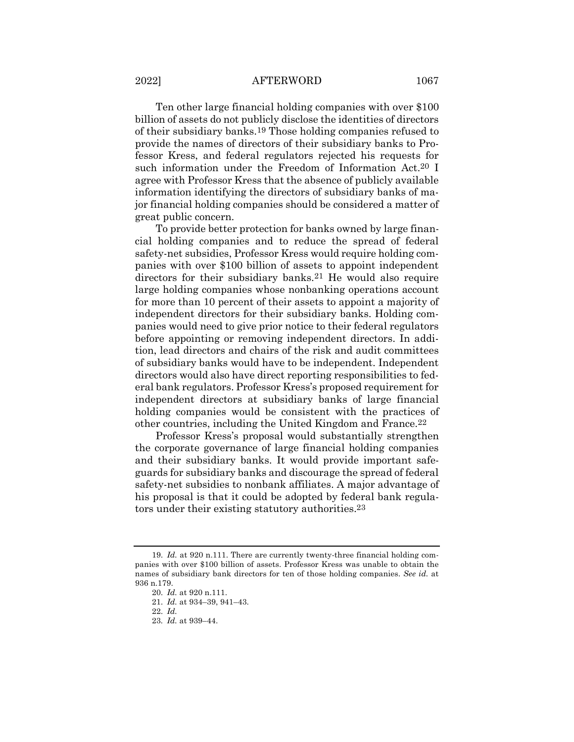#### 2022] AFTERWORD 1067

Ten other large financial holding companies with over \$100 billion of assets do not publicly disclose the identities of directors of their subsidiary banks.19 Those holding companies refused to provide the names of directors of their subsidiary banks to Professor Kress, and federal regulators rejected his requests for such information under the Freedom of Information Act.20 I agree with Professor Kress that the absence of publicly available information identifying the directors of subsidiary banks of major financial holding companies should be considered a matter of great public concern.

To provide better protection for banks owned by large financial holding companies and to reduce the spread of federal safety-net subsidies, Professor Kress would require holding companies with over \$100 billion of assets to appoint independent directors for their subsidiary banks.<sup>21</sup> He would also require large holding companies whose nonbanking operations account for more than 10 percent of their assets to appoint a majority of independent directors for their subsidiary banks. Holding companies would need to give prior notice to their federal regulators before appointing or removing independent directors. In addition, lead directors and chairs of the risk and audit committees of subsidiary banks would have to be independent. Independent directors would also have direct reporting responsibilities to federal bank regulators. Professor Kress's proposed requirement for independent directors at subsidiary banks of large financial holding companies would be consistent with the practices of other countries, including the United Kingdom and France.22

Professor Kress's proposal would substantially strengthen the corporate governance of large financial holding companies and their subsidiary banks. It would provide important safeguards for subsidiary banks and discourage the spread of federal safety-net subsidies to nonbank affiliates. A major advantage of his proposal is that it could be adopted by federal bank regulators under their existing statutory authorities.23

<sup>19</sup>*. Id.* at 920 n.111. There are currently twenty-three financial holding companies with over \$100 billion of assets. Professor Kress was unable to obtain the names of subsidiary bank directors for ten of those holding companies. *See id.* at 936 n.179.

<sup>20</sup>*. Id.* at 920 n.111.

<sup>21</sup>*. Id.* at 934–39, 941–43.

<sup>22</sup>*. Id.*

<sup>23</sup>*. Id.* at 939–44.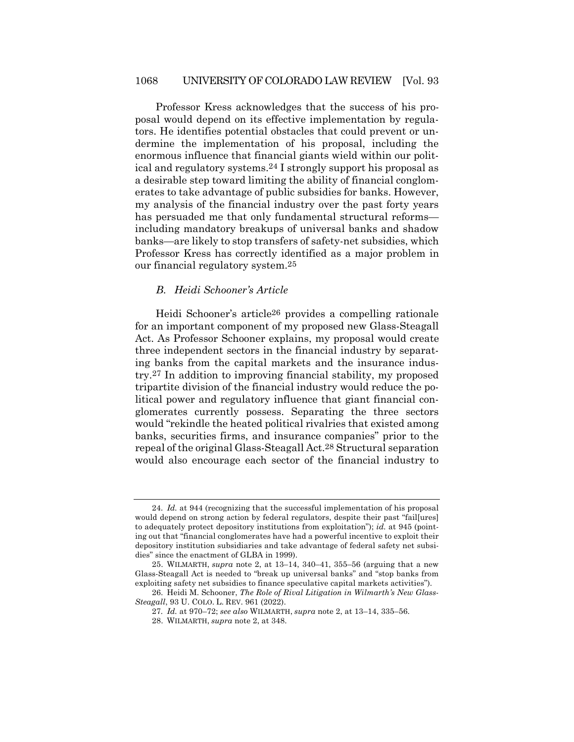Professor Kress acknowledges that the success of his proposal would depend on its effective implementation by regulators. He identifies potential obstacles that could prevent or undermine the implementation of his proposal, including the enormous influence that financial giants wield within our political and regulatory systems.24 I strongly support his proposal as a desirable step toward limiting the ability of financial conglomerates to take advantage of public subsidies for banks. However, my analysis of the financial industry over the past forty years has persuaded me that only fundamental structural reformsincluding mandatory breakups of universal banks and shadow banks—are likely to stop transfers of safety-net subsidies, which Professor Kress has correctly identified as a major problem in our financial regulatory system.25

#### *B. Heidi Schooner's Article*

Heidi Schooner's article26 provides a compelling rationale for an important component of my proposed new Glass-Steagall Act. As Professor Schooner explains, my proposal would create three independent sectors in the financial industry by separating banks from the capital markets and the insurance industry.27 In addition to improving financial stability, my proposed tripartite division of the financial industry would reduce the political power and regulatory influence that giant financial conglomerates currently possess. Separating the three sectors would "rekindle the heated political rivalries that existed among banks, securities firms, and insurance companies" prior to the repeal of the original Glass-Steagall Act.28 Structural separation would also encourage each sector of the financial industry to

<sup>24</sup>*. Id.* at 944 (recognizing that the successful implementation of his proposal would depend on strong action by federal regulators, despite their past "fail[ures] to adequately protect depository institutions from exploitation"); *id.* at 945 (pointing out that "financial conglomerates have had a powerful incentive to exploit their depository institution subsidiaries and take advantage of federal safety net subsidies" since the enactment of GLBA in 1999).

<sup>25.</sup> WILMARTH, *supra* note 2, at 13–14, 340–41, 355–56 (arguing that a new Glass-Steagall Act is needed to "break up universal banks" and "stop banks from exploiting safety net subsidies to finance speculative capital markets activities").

<sup>26.</sup> Heidi M. Schooner, *The Role of Rival Litigation in Wilmarth's New Glass-Steagall*, 93 U. COLO. L. REV. 961 (2022).

<sup>27</sup>*. Id.* at 970–72; *see also* WILMARTH, *supra* note 2, at 13–14, 335–56.

<sup>28.</sup> WILMARTH, *supra* note 2, at 348.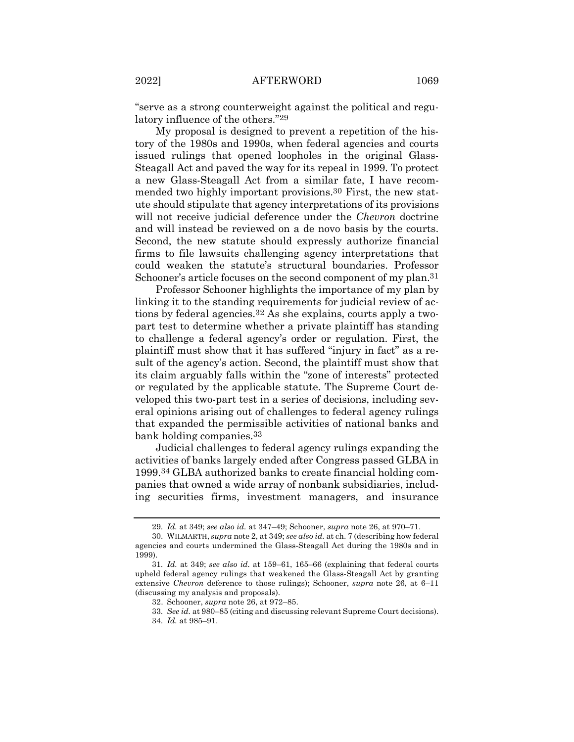"serve as a strong counterweight against the political and regulatory influence of the others."29

My proposal is designed to prevent a repetition of the history of the 1980s and 1990s, when federal agencies and courts issued rulings that opened loopholes in the original Glass-Steagall Act and paved the way for its repeal in 1999. To protect a new Glass-Steagall Act from a similar fate, I have recommended two highly important provisions.30 First, the new statute should stipulate that agency interpretations of its provisions will not receive judicial deference under the *Chevron* doctrine and will instead be reviewed on a de novo basis by the courts. Second, the new statute should expressly authorize financial firms to file lawsuits challenging agency interpretations that could weaken the statute's structural boundaries. Professor Schooner's article focuses on the second component of my plan.<sup>31</sup>

Professor Schooner highlights the importance of my plan by linking it to the standing requirements for judicial review of actions by federal agencies.32 As she explains, courts apply a twopart test to determine whether a private plaintiff has standing to challenge a federal agency's order or regulation. First, the plaintiff must show that it has suffered "injury in fact" as a result of the agency's action. Second, the plaintiff must show that its claim arguably falls within the "zone of interests" protected or regulated by the applicable statute. The Supreme Court developed this two-part test in a series of decisions, including several opinions arising out of challenges to federal agency rulings that expanded the permissible activities of national banks and bank holding companies.33

Judicial challenges to federal agency rulings expanding the activities of banks largely ended after Congress passed GLBA in 1999.34 GLBA authorized banks to create financial holding companies that owned a wide array of nonbank subsidiaries, including securities firms, investment managers, and insurance

<sup>29</sup>*. Id.* at 349; *see also id.* at 347–49; Schooner, *supra* note 26, at 970–71.

<sup>30.</sup> WILMARTH, *supra* note 2, at 349; *see also id.* at ch. 7 (describing how federal agencies and courts undermined the Glass-Steagall Act during the 1980s and in 1999).

<sup>31</sup>*. Id.* at 349; *see also id.* at 159–61, 165–66 (explaining that federal courts upheld federal agency rulings that weakened the Glass-Steagall Act by granting extensive *Chevron* deference to those rulings); Schooner, *supra* note 26, at 6–11 (discussing my analysis and proposals).

<sup>32.</sup> Schooner, *supra* note 26, at 972–85.

<sup>33</sup>*. See id.* at 980–85 (citing and discussing relevant Supreme Court decisions). 34*. Id.* at 985–91.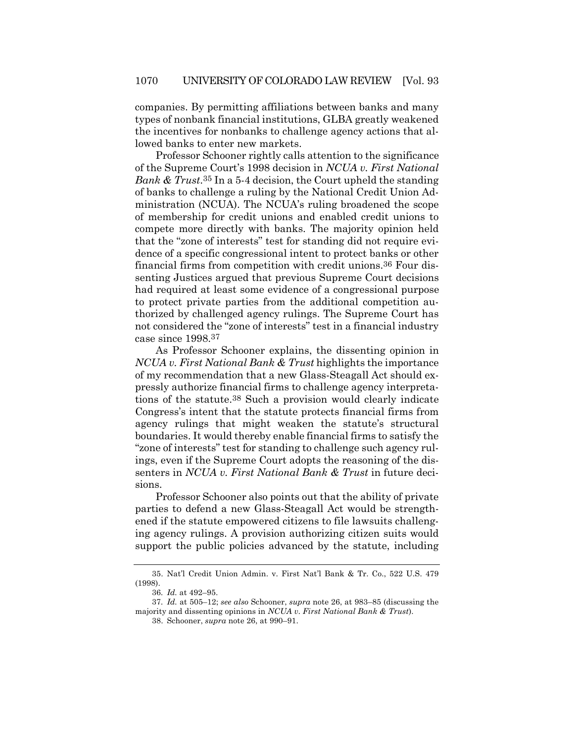companies. By permitting affiliations between banks and many types of nonbank financial institutions, GLBA greatly weakened the incentives for nonbanks to challenge agency actions that allowed banks to enter new markets.

Professor Schooner rightly calls attention to the significance of the Supreme Court's 1998 decision in *NCUA v. First National Bank & Trust*.35 In a 5-4 decision, the Court upheld the standing of banks to challenge a ruling by the National Credit Union Administration (NCUA). The NCUA's ruling broadened the scope of membership for credit unions and enabled credit unions to compete more directly with banks. The majority opinion held that the "zone of interests" test for standing did not require evidence of a specific congressional intent to protect banks or other financial firms from competition with credit unions.36 Four dissenting Justices argued that previous Supreme Court decisions had required at least some evidence of a congressional purpose to protect private parties from the additional competition authorized by challenged agency rulings. The Supreme Court has not considered the "zone of interests" test in a financial industry case since 1998.37

As Professor Schooner explains, the dissenting opinion in *NCUA v. First National Bank & Trust* highlights the importance of my recommendation that a new Glass-Steagall Act should expressly authorize financial firms to challenge agency interpretations of the statute.38 Such a provision would clearly indicate Congress's intent that the statute protects financial firms from agency rulings that might weaken the statute's structural boundaries. It would thereby enable financial firms to satisfy the "zone of interests" test for standing to challenge such agency rulings, even if the Supreme Court adopts the reasoning of the dissenters in *NCUA v. First National Bank & Trust* in future decisions.

Professor Schooner also points out that the ability of private parties to defend a new Glass-Steagall Act would be strengthened if the statute empowered citizens to file lawsuits challenging agency rulings. A provision authorizing citizen suits would support the public policies advanced by the statute, including

<sup>35.</sup> Nat'l Credit Union Admin. v. First Nat'l Bank & Tr. Co., 522 U.S. 479 (1998).

<sup>36</sup>*. Id.* at 492–95.

<sup>37</sup>*. Id.* at 505–12; *see also* Schooner, *supra* note 26, at 983–85 (discussing the majority and dissenting opinions in *NCUA v. First National Bank & Trust*).

<sup>38.</sup> Schooner, *supra* note 26, at 990–91.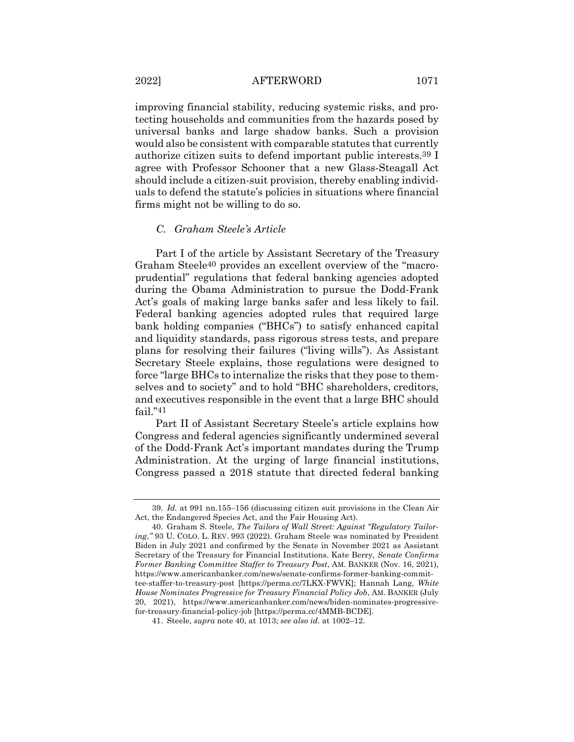improving financial stability, reducing systemic risks, and protecting households and communities from the hazards posed by universal banks and large shadow banks. Such a provision would also be consistent with comparable statutes that currently authorize citizen suits to defend important public interests.39 I agree with Professor Schooner that a new Glass-Steagall Act should include a citizen-suit provision, thereby enabling individuals to defend the statute's policies in situations where financial firms might not be willing to do so.

#### *C. Graham Steele's Article*

Part I of the article by Assistant Secretary of the Treasury Graham Steele40 provides an excellent overview of the "macroprudential" regulations that federal banking agencies adopted during the Obama Administration to pursue the Dodd-Frank Act's goals of making large banks safer and less likely to fail. Federal banking agencies adopted rules that required large bank holding companies ("BHCs") to satisfy enhanced capital and liquidity standards, pass rigorous stress tests, and prepare plans for resolving their failures ("living wills"). As Assistant Secretary Steele explains, those regulations were designed to force "large BHCs to internalize the risks that they pose to themselves and to society" and to hold "BHC shareholders, creditors, and executives responsible in the event that a large BHC should fail."41

Part II of Assistant Secretary Steele's article explains how Congress and federal agencies significantly undermined several of the Dodd-Frank Act's important mandates during the Trump Administration. At the urging of large financial institutions, Congress passed a 2018 statute that directed federal banking

<sup>39</sup>*. Id.* at 991 nn.155–156 (discussing citizen suit provisions in the Clean Air Act, the Endangered Species Act, and the Fair Housing Act).

<sup>40.</sup> Graham S. Steele, *The Tailors of Wall Street: Against "Regulatory Tailoring*,*"* 93 U. COLO. L. REV. 993 (2022). Graham Steele was nominated by President Biden in July 2021 and confirmed by the Senate in November 2021 as Assistant Secretary of the Treasury for Financial Institutions. Kate Berry, *Senate Confirms Former Banking Committee Staffer to Treasury Post*, AM. BANKER (Nov. 16, 2021), https://www.americanbanker.com/news/senate-confirms-former-banking-committee-staffer-to-treasury-post [https://perma.cc/7LKX-FWVK]; Hannah Lang, *White House Nominates Progressive for Treasury Financial Policy Job*, AM. BANKER (July 20, 2021), https://www.americanbanker.com/news/biden-nominates-progressivefor-treasury-financial-policy-job [https://perma.cc/4MMB-BCDE].

<sup>41.</sup> Steele, *supra* note 40, at 1013; *see also id.* at 1002–12.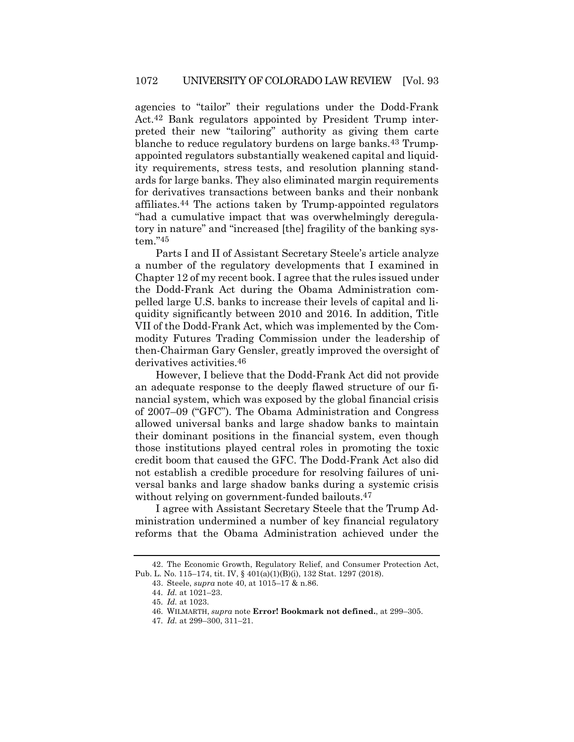agencies to "tailor" their regulations under the Dodd-Frank Act.42 Bank regulators appointed by President Trump interpreted their new "tailoring" authority as giving them carte blanche to reduce regulatory burdens on large banks.43 Trumpappointed regulators substantially weakened capital and liquidity requirements, stress tests, and resolution planning standards for large banks. They also eliminated margin requirements for derivatives transactions between banks and their nonbank affiliates.44 The actions taken by Trump-appointed regulators "had a cumulative impact that was overwhelmingly deregulatory in nature" and "increased [the] fragility of the banking system."45

Parts I and II of Assistant Secretary Steele's article analyze a number of the regulatory developments that I examined in Chapter 12 of my recent book. I agree that the rules issued under the Dodd-Frank Act during the Obama Administration compelled large U.S. banks to increase their levels of capital and liquidity significantly between 2010 and 2016. In addition, Title VII of the Dodd-Frank Act, which was implemented by the Commodity Futures Trading Commission under the leadership of then-Chairman Gary Gensler, greatly improved the oversight of derivatives activities.46

However, I believe that the Dodd-Frank Act did not provide an adequate response to the deeply flawed structure of our financial system, which was exposed by the global financial crisis of 2007–09 ("GFC"). The Obama Administration and Congress allowed universal banks and large shadow banks to maintain their dominant positions in the financial system, even though those institutions played central roles in promoting the toxic credit boom that caused the GFC. The Dodd-Frank Act also did not establish a credible procedure for resolving failures of universal banks and large shadow banks during a systemic crisis without relying on government-funded bailouts.<sup>47</sup>

I agree with Assistant Secretary Steele that the Trump Administration undermined a number of key financial regulatory reforms that the Obama Administration achieved under the

<sup>42.</sup> The Economic Growth, Regulatory Relief, and Consumer Protection Act, Pub. L. No. 115–174, tit. IV, § 401(a)(1)(B)(i), 132 Stat. 1297 (2018).

<sup>43.</sup> Steele, *supra* note 40, at 1015–17 & n.86.

<sup>44</sup>*. Id.* at 1021–23.

<sup>45</sup>*. Id.* at 1023.

<sup>46.</sup> WILMARTH, *supra* note **Error! Bookmark not defined.**, at 299–305.

<sup>47</sup>*. Id.* at 299–300, 311–21.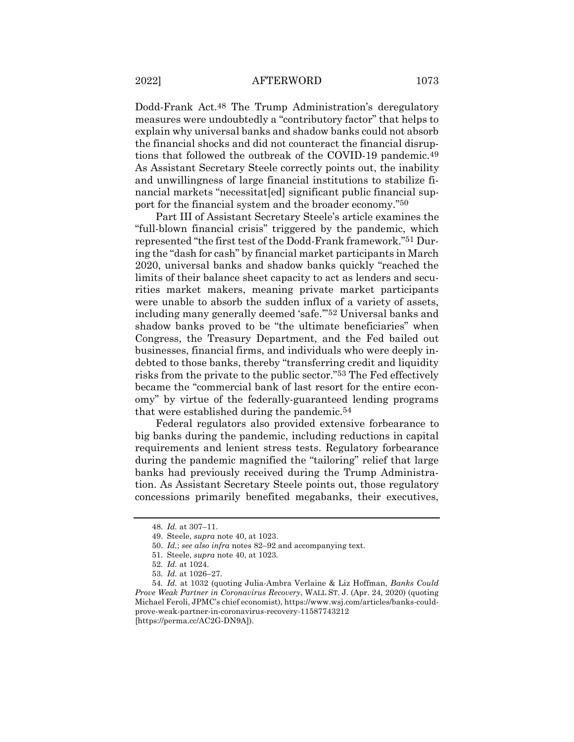Dodd-Frank Act.48 The Trump Administration's deregulatory measures were undoubtedly a "contributory factor" that helps to explain why universal banks and shadow banks could not absorb the financial shocks and did not counteract the financial disruptions that followed the outbreak of the COVID-19 pandemic.49 As Assistant Secretary Steele correctly points out, the inability and unwillingness of large financial institutions to stabilize financial markets "necessitat [ed] significant public financial support for the financial system and the broader economy."50

Part III of Assistant Secretary Steele's article examines the "full-blown financial crisis" triggered by the pandemic, which represented "the first test of the Dodd-Frank framework."51 During the "dash for cash" by financial market participants in March 2020, universal banks and shadow banks quickly "reached the limits of their balance sheet capacity to act as lenders and securities market makers, meaning private market participants were unable to absorb the sudden influx of a variety of assets, including many generally deemed 'safe.'"52 Universal banks and shadow banks proved to be "the ultimate beneficiaries" when Congress, the Treasury Department, and the Fed bailed out businesses, financial firms, and individuals who were deeply indebted to those banks, thereby "transferring credit and liquidity risks from the private to the public sector."53 The Fed effectively became the "commercial bank of last resort for the entire economy" by virtue of the federally-guaranteed lending programs that were established during the pandemic.54

Federal regulators also provided extensive forbearance to big banks during the pandemic, including reductions in capital requirements and lenient stress tests. Regulatory forbearance during the pandemic magnified the "tailoring" relief that large banks had previously received during the Trump Administration. As Assistant Secretary Steele points out, those regulatory concessions primarily benefited megabanks, their executives,

<sup>48</sup>*. Id.* at 307–11.

<sup>49.</sup> Steele, *supra* note 40, at 1023.

<sup>50</sup>*. Id.*; *see also infra* notes 82–92 and accompanying text.

<sup>51</sup>*.* Steele, *supra* note 40, at 1023*.*

<sup>52</sup>*. Id.* at 1024.

<sup>53</sup>*. Id.* at 1026–27.

<sup>54</sup>*. Id.* at 1032 (quoting Julia-Ambra Verlaine & Liz Hoffman, *Banks Could Prove Weak Partner in Coronavirus Recovery*, WALL ST. J. (Apr. 24, 2020) (quoting Michael Feroli, JPMC's chief economist), https://www.wsj.com/articles/banks-couldprove-weak-partner-in-coronavirus-recovery-11587743212 [https://perma.cc/AC2G-DN9A]).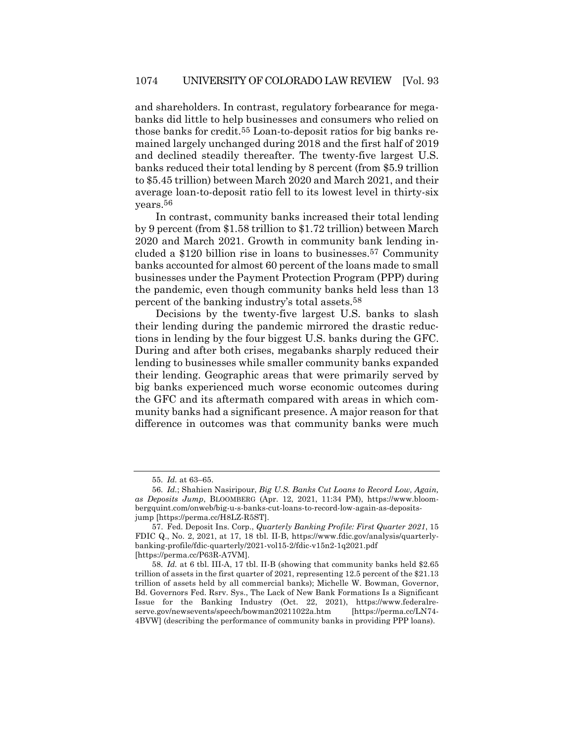and shareholders. In contrast, regulatory forbearance for megabanks did little to help businesses and consumers who relied on those banks for credit.55 Loan-to-deposit ratios for big banks remained largely unchanged during 2018 and the first half of 2019 and declined steadily thereafter. The twenty-five largest U.S. banks reduced their total lending by 8 percent (from \$5.9 trillion to \$5.45 trillion) between March 2020 and March 2021, and their average loan-to-deposit ratio fell to its lowest level in thirty-six years.56

In contrast, community banks increased their total lending by 9 percent (from \$1.58 trillion to \$1.72 trillion) between March 2020 and March 2021. Growth in community bank lending included a \$120 billion rise in loans to businesses.57 Community banks accounted for almost 60 percent of the loans made to small businesses under the Payment Protection Program (PPP) during the pandemic, even though community banks held less than 13 percent of the banking industry's total assets.58

Decisions by the twenty-five largest U.S. banks to slash their lending during the pandemic mirrored the drastic reductions in lending by the four biggest U.S. banks during the GFC. During and after both crises, megabanks sharply reduced their lending to businesses while smaller community banks expanded their lending. Geographic areas that were primarily served by big banks experienced much worse economic outcomes during the GFC and its aftermath compared with areas in which community banks had a significant presence. A major reason for that difference in outcomes was that community banks were much

<sup>55</sup>*. Id.* at 63–65.

<sup>56</sup>*. Id.*; Shahien Nasiripour, *Big U.S. Banks Cut Loans to Record Low, Again, as Deposits Jump*, BLOOMBERG (Apr. 12, 2021, 11:34 PM), https://www.bloombergquint.com/onweb/big-u-s-banks-cut-loans-to-record-low-again-as-depositsjump [https://perma.cc/H8LZ-R5ST].

<sup>57.</sup> Fed. Deposit Ins. Corp., *Quarterly Banking Profile: First Quarter 2021*, 15 FDIC Q., No. 2, 2021, at 17, 18 tbl. II-B, https://www.fdic.gov/analysis/quarterlybanking-profile/fdic-quarterly/2021-vol15-2/fdic-v15n2-1q2021.pdf [https://perma.cc/P63R-A7VM].

<sup>58</sup>*. Id.* at 6 tbl. III-A, 17 tbl. II-B (showing that community banks held \$2.65 trillion of assets in the first quarter of 2021, representing 12.5 percent of the \$21.13 trillion of assets held by all commercial banks); Michelle W. Bowman, Governor, Bd. Governors Fed. Rsrv. Sys., The Lack of New Bank Formations Is a Significant Issue for the Banking Industry (Oct. 22, 2021), https://www.federalreserve.gov/newsevents/speech/bowman20211022a.htm [https://perma.cc/LN74- 4BVW] (describing the performance of community banks in providing PPP loans).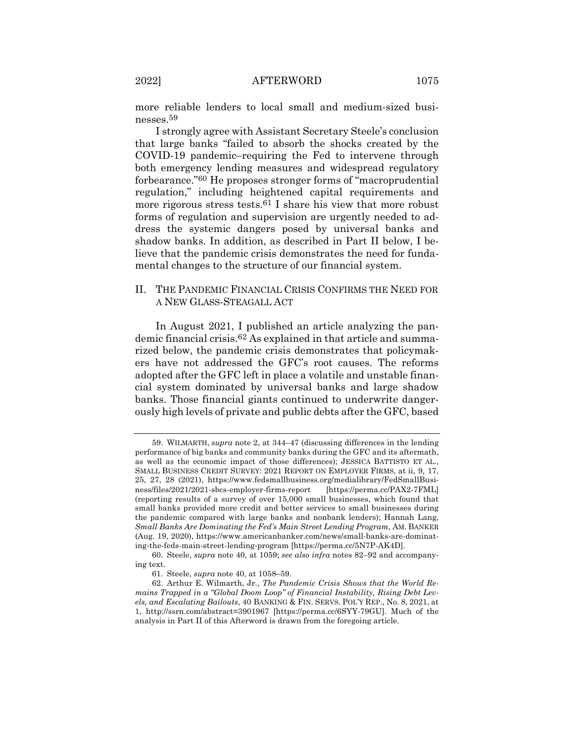more reliable lenders to local small and medium-sized businesses.59

I strongly agree with Assistant Secretary Steele's conclusion that large banks "failed to absorb the shocks created by the COVID-19 pandemic–requiring the Fed to intervene through both emergency lending measures and widespread regulatory forbearance."60 He proposes stronger forms of "macroprudential regulation," including heightened capital requirements and more rigorous stress tests.<sup>61</sup> I share his view that more robust forms of regulation and supervision are urgently needed to address the systemic dangers posed by universal banks and shadow banks. In addition, as described in Part II below, I believe that the pandemic crisis demonstrates the need for fundamental changes to the structure of our financial system.

## II. THE PANDEMIC FINANCIAL CRISIS CONFIRMS THE NEED FOR A NEW GLASS-STEAGALL ACT

In August 2021, I published an article analyzing the pandemic financial crisis.62 As explained in that article and summarized below, the pandemic crisis demonstrates that policymakers have not addressed the GFC's root causes. The reforms adopted after the GFC left in place a volatile and unstable financial system dominated by universal banks and large shadow banks. Those financial giants continued to underwrite dangerously high levels of private and public debts after the GFC, based

<sup>59.</sup> WILMARTH, *supra* note 2, at 344–47 (discussing differences in the lending performance of big banks and community banks during the GFC and its aftermath, as well as the economic impact of those differences); JESSICA BATTISTO ET AL., SMALL BUSINESS CREDIT SURVEY: 2021 REPORT ON EMPLOYER FIRMS, at ii, 9, 17, 25, 27, 28 (2021), https://www.fedsmallbusiness.org/medialibrary/FedSmallBusiness/files/2021/2021-sbcs-employer-firms-report [https://perma.cc/PAX2-7FML] (reporting results of a survey of over 15,000 small businesses, which found that small banks provided more credit and better services to small businesses during the pandemic compared with large banks and nonbank lenders); Hannah Lang, *Small Banks Are Dominating the Fed's Main Street Lending Program*, AM. BANKER (Aug. 19, 2020), https://www.americanbanker.com/news/small-banks-are-dominating-the-feds-main-street-lending-program [https://perma.cc/5N7P-AK4D].

<sup>60.</sup> Steele, *supra* note 40, at 1059; *see also infra* notes 82–92 and accompanying text.

<sup>61</sup>*.* Steele, *supra* note 40, at 1058–59.

<sup>62.</sup> Arthur E. Wilmarth, Jr., *The Pandemic Crisis Shows that the World Remains Trapped in a "Global Doom Loop" of Financial Instability, Rising Debt Levels, and Escalating Bailouts*, 40 BANKING & FIN. SERVS. POL'Y REP., No. 8, 2021, at 1, http://ssrn.com/abstract=3901967 [https://perma.cc/6SYY-79GU]. Much of the analysis in Part II of this Afterword is drawn from the foregoing article.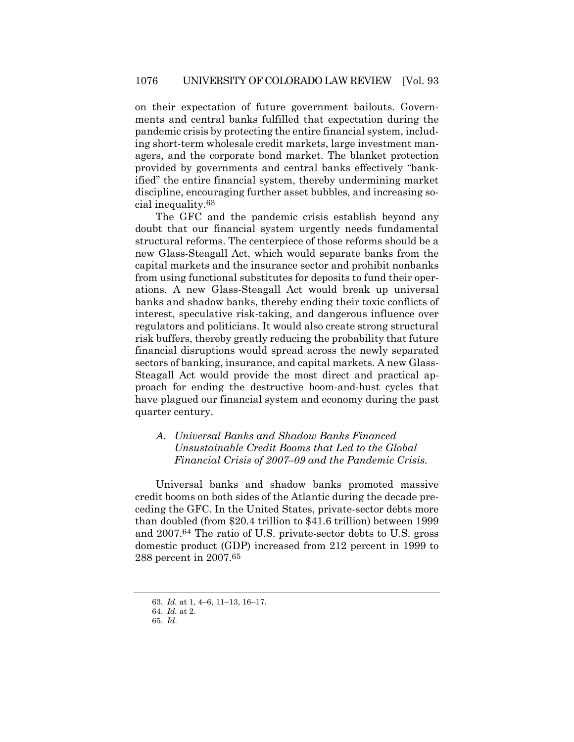on their expectation of future government bailouts. Governments and central banks fulfilled that expectation during the pandemic crisis by protecting the entire financial system, including short-term wholesale credit markets, large investment managers, and the corporate bond market. The blanket protection provided by governments and central banks effectively "bankified" the entire financial system, thereby undermining market discipline, encouraging further asset bubbles, and increasing social inequality.63

The GFC and the pandemic crisis establish beyond any doubt that our financial system urgently needs fundamental structural reforms. The centerpiece of those reforms should be a new Glass-Steagall Act, which would separate banks from the capital markets and the insurance sector and prohibit nonbanks from using functional substitutes for deposits to fund their operations. A new Glass-Steagall Act would break up universal banks and shadow banks, thereby ending their toxic conflicts of interest, speculative risk-taking, and dangerous influence over regulators and politicians. It would also create strong structural risk buffers, thereby greatly reducing the probability that future financial disruptions would spread across the newly separated sectors of banking, insurance, and capital markets. A new Glass-Steagall Act would provide the most direct and practical approach for ending the destructive boom-and-bust cycles that have plagued our financial system and economy during the past quarter century.

## *A. Universal Banks and Shadow Banks Financed Unsustainable Credit Booms that Led to the Global Financial Crisis of 2007–09 and the Pandemic Crisis.*

Universal banks and shadow banks promoted massive credit booms on both sides of the Atlantic during the decade preceding the GFC. In the United States, private-sector debts more than doubled (from \$20.4 trillion to \$41.6 trillion) between 1999 and 2007.64 The ratio of U.S. private-sector debts to U.S. gross domestic product (GDP) increased from 212 percent in 1999 to 288 percent in 2007.65

<sup>63</sup>*. Id.* at 1, 4–6, 11–13, 16–17.

<sup>64</sup>*. Id.* at 2.

<sup>65</sup>*. Id*.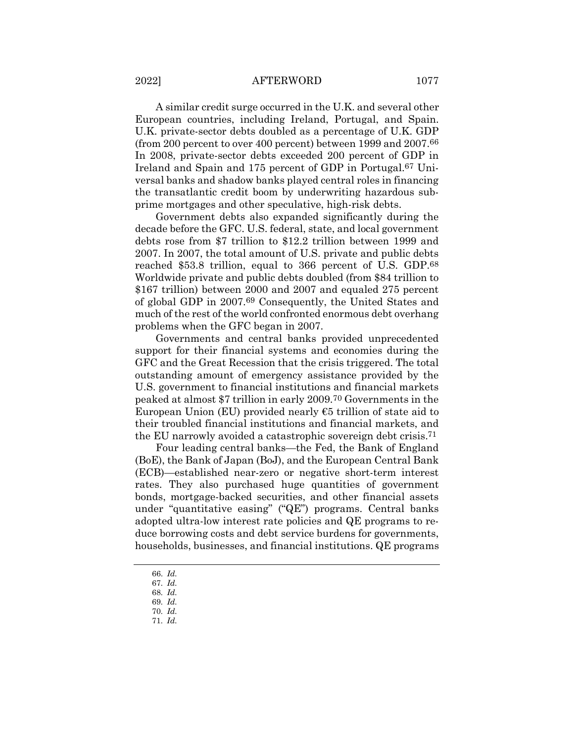#### 2022] AFTERWORD 1077

A similar credit surge occurred in the U.K. and several other European countries, including Ireland, Portugal, and Spain. U.K. private-sector debts doubled as a percentage of U.K. GDP (from 200 percent to over 400 percent) between 1999 and 2007.66 In 2008, private-sector debts exceeded 200 percent of GDP in Ireland and Spain and 175 percent of GDP in Portugal.67 Universal banks and shadow banks played central roles in financing the transatlantic credit boom by underwriting hazardous subprime mortgages and other speculative, high-risk debts.

Government debts also expanded significantly during the decade before the GFC. U.S. federal, state, and local government debts rose from \$7 trillion to \$12.2 trillion between 1999 and 2007. In 2007, the total amount of U.S. private and public debts reached \$53.8 trillion, equal to 366 percent of U.S. GDP.68 Worldwide private and public debts doubled (from \$84 trillion to \$167 trillion) between 2000 and 2007 and equaled 275 percent of global GDP in 2007.69 Consequently, the United States and much of the rest of the world confronted enormous debt overhang problems when the GFC began in 2007.

Governments and central banks provided unprecedented support for their financial systems and economies during the GFC and the Great Recession that the crisis triggered. The total outstanding amount of emergency assistance provided by the U.S. government to financial institutions and financial markets peaked at almost \$7 trillion in early 2009.70 Governments in the European Union (EU) provided nearly  $€5$  trillion of state aid to their troubled financial institutions and financial markets, and the EU narrowly avoided a catastrophic sovereign debt crisis.71

Four leading central banks—the Fed, the Bank of England (BoE), the Bank of Japan (BoJ), and the European Central Bank (ECB)—established near-zero or negative short-term interest rates. They also purchased huge quantities of government bonds, mortgage-backed securities, and other financial assets under "quantitative easing" ("QE") programs. Central banks adopted ultra-low interest rate policies and QE programs to reduce borrowing costs and debt service burdens for governments, households, businesses, and financial institutions. QE programs

71*. Id.*

<sup>66</sup>*. Id.*

<sup>67</sup>*. Id.*

<sup>68</sup>*. Id.* 69*. Id.*

<sup>70</sup>*. Id.*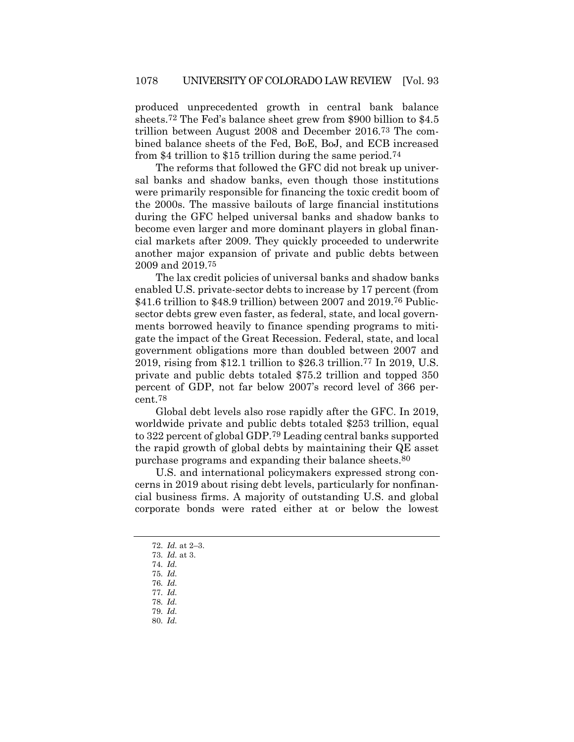produced unprecedented growth in central bank balance sheets.72 The Fed's balance sheet grew from \$900 billion to \$4.5 trillion between August 2008 and December 2016.73 The combined balance sheets of the Fed, BoE, BoJ, and ECB increased from \$4 trillion to \$15 trillion during the same period.74

The reforms that followed the GFC did not break up universal banks and shadow banks, even though those institutions were primarily responsible for financing the toxic credit boom of the 2000s. The massive bailouts of large financial institutions during the GFC helped universal banks and shadow banks to become even larger and more dominant players in global financial markets after 2009. They quickly proceeded to underwrite another major expansion of private and public debts between 2009 and 2019.75

The lax credit policies of universal banks and shadow banks enabled U.S. private-sector debts to increase by 17 percent (from \$41.6 trillion to \$48.9 trillion) between 2007 and 2019.76 Publicsector debts grew even faster, as federal, state, and local governments borrowed heavily to finance spending programs to mitigate the impact of the Great Recession. Federal, state, and local government obligations more than doubled between 2007 and 2019, rising from \$12.1 trillion to \$26.3 trillion.77 In 2019, U.S. private and public debts totaled \$75.2 trillion and topped 350 percent of GDP, not far below 2007's record level of 366 percent.78

Global debt levels also rose rapidly after the GFC. In 2019, worldwide private and public debts totaled \$253 trillion, equal to 322 percent of global GDP.79 Leading central banks supported the rapid growth of global debts by maintaining their QE asset purchase programs and expanding their balance sheets.80

U.S. and international policymakers expressed strong concerns in 2019 about rising debt levels, particularly for nonfinancial business firms. A majority of outstanding U.S. and global corporate bonds were rated either at or below the lowest

- 78*. Id.*
- 79*. Id.*
- 80*. Id.*

<sup>72</sup>*. Id.* at 2–3.

<sup>73</sup>*. Id.* at 3.

<sup>74</sup>*. Id.*

<sup>75</sup>*. Id.*

<sup>76</sup>*. Id.* 77*. Id.*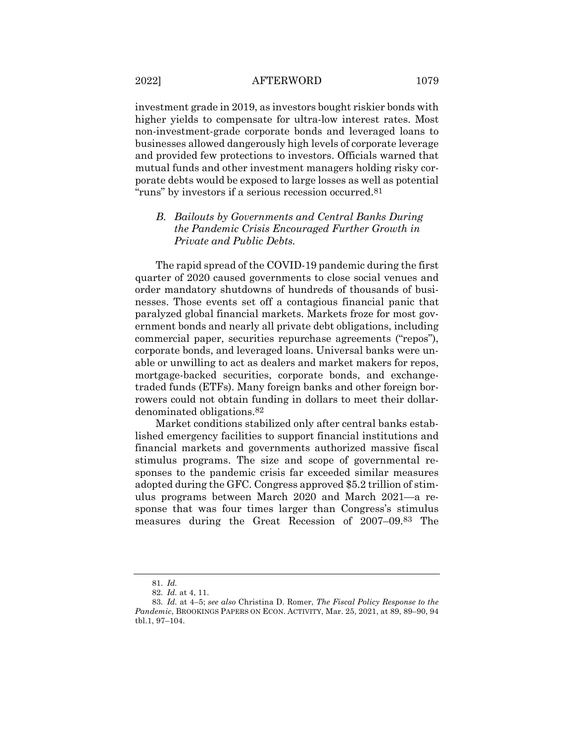investment grade in 2019, as investors bought riskier bonds with higher yields to compensate for ultra-low interest rates. Most non-investment-grade corporate bonds and leveraged loans to businesses allowed dangerously high levels of corporate leverage and provided few protections to investors. Officials warned that mutual funds and other investment managers holding risky corporate debts would be exposed to large losses as well as potential "runs" by investors if a serious recession occurred.81

## *B. Bailouts by Governments and Central Banks During the Pandemic Crisis Encouraged Further Growth in Private and Public Debts.*

The rapid spread of the COVID-19 pandemic during the first quarter of 2020 caused governments to close social venues and order mandatory shutdowns of hundreds of thousands of businesses. Those events set off a contagious financial panic that paralyzed global financial markets. Markets froze for most government bonds and nearly all private debt obligations, including commercial paper, securities repurchase agreements ("repos"), corporate bonds, and leveraged loans. Universal banks were unable or unwilling to act as dealers and market makers for repos, mortgage-backed securities, corporate bonds, and exchangetraded funds (ETFs). Many foreign banks and other foreign borrowers could not obtain funding in dollars to meet their dollardenominated obligations.82

Market conditions stabilized only after central banks established emergency facilities to support financial institutions and financial markets and governments authorized massive fiscal stimulus programs. The size and scope of governmental responses to the pandemic crisis far exceeded similar measures adopted during the GFC. Congress approved \$5.2 trillion of stimulus programs between March 2020 and March 2021—a response that was four times larger than Congress's stimulus measures during the Great Recession of 2007–09.83 The

<sup>81</sup>*. Id.*

<sup>82</sup>*. Id.* at 4, 11.

<sup>83</sup>*. Id.* at 4–5; *see also* Christina D. Romer, *The Fiscal Policy Response to the Pandemic*, BROOKINGS PAPERS ON ECON. ACTIVITY, Mar. 25, 2021, at 89, 89–90, 94 tbl.1, 97–104.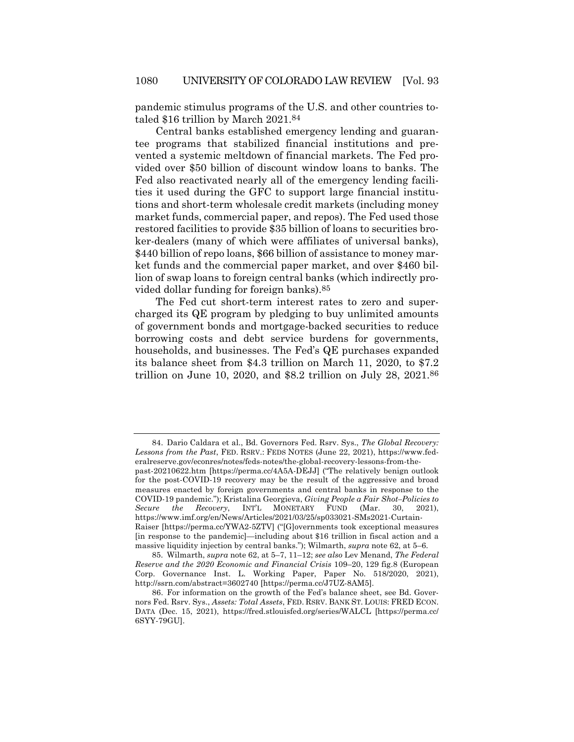pandemic stimulus programs of the U.S. and other countries totaled \$16 trillion by March 2021.84

Central banks established emergency lending and guarantee programs that stabilized financial institutions and prevented a systemic meltdown of financial markets. The Fed provided over \$50 billion of discount window loans to banks. The Fed also reactivated nearly all of the emergency lending facilities it used during the GFC to support large financial institutions and short-term wholesale credit markets (including money market funds, commercial paper, and repos). The Fed used those restored facilities to provide \$35 billion of loans to securities broker-dealers (many of which were affiliates of universal banks), \$440 billion of repo loans, \$66 billion of assistance to money market funds and the commercial paper market, and over \$460 billion of swap loans to foreign central banks (which indirectly provided dollar funding for foreign banks).85

The Fed cut short-term interest rates to zero and supercharged its QE program by pledging to buy unlimited amounts of government bonds and mortgage-backed securities to reduce borrowing costs and debt service burdens for governments, households, and businesses. The Fed's QE purchases expanded its balance sheet from \$4.3 trillion on March 11, 2020, to \$7.2 trillion on June 10, 2020, and \$8.2 trillion on July 28, 2021.86

<sup>84.</sup> Dario Caldara et al., Bd. Governors Fed. Rsrv. Sys., *The Global Recovery: Lessons from the Past*, FED. RSRV.: FEDS NOTES (June 22, 2021), https://www.federalreserve.gov/econres/notes/feds-notes/the-global-recovery-lessons-from-the-

past-20210622.htm [https://perma.cc/4A5A-DEJJ] ("The relatively benign outlook for the post-COVID-19 recovery may be the result of the aggressive and broad measures enacted by foreign governments and central banks in response to the COVID-19 pandemic."); Kristalina Georgieva, *Giving People a Fair Shot–Policies to Secure the Recovery*, INT'L MONETARY FUND (Mar. 30, 2021), https://www.imf.org/en/News/Articles/2021/03/25/sp033021-SMs2021-Curtain-Raiser [https://perma.cc/YWA2-5ZTV] ("[G]overnments took exceptional measures [in response to the pandemic]—including about \$16 trillion in fiscal action and a massive liquidity injection by central banks."); Wilmarth, *supra* note 62, at 5–6.

<sup>85.</sup> Wilmarth, *supra* note 62, at 5–7, 11–12; *see also* Lev Menand, *The Federal Reserve and the 2020 Economic and Financial Crisis* 109–20, 129 fig.8 (European Corp. Governance Inst. L. Working Paper, Paper No. 518/2020, 2021), http://ssrn.com/abstract=3602740 [https://perma.cc/J7UZ-8AM5].

<sup>86.</sup> For information on the growth of the Fed's balance sheet, see Bd. Governors Fed. Rsrv. Sys., *Assets: Total Assets*, FED. RSRV. BANK ST. LOUIS: FRED ECON. DATA (Dec. 15, 2021), https://fred.stlouisfed.org/series/WALCL [https://perma.cc/ 6SYY-79GU].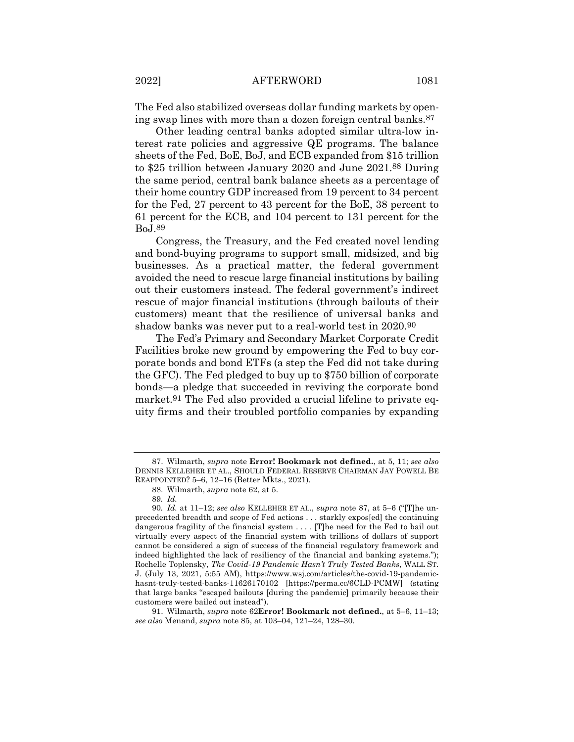The Fed also stabilized overseas dollar funding markets by opening swap lines with more than a dozen foreign central banks.87

Other leading central banks adopted similar ultra-low interest rate policies and aggressive QE programs. The balance sheets of the Fed, BoE, BoJ, and ECB expanded from \$15 trillion to \$25 trillion between January 2020 and June 2021.88 During the same period, central bank balance sheets as a percentage of their home country GDP increased from 19 percent to 34 percent for the Fed, 27 percent to 43 percent for the BoE, 38 percent to 61 percent for the ECB, and 104 percent to 131 percent for the BoJ.89

Congress, the Treasury, and the Fed created novel lending and bond-buying programs to support small, midsized, and big businesses. As a practical matter, the federal government avoided the need to rescue large financial institutions by bailing out their customers instead. The federal government's indirect rescue of major financial institutions (through bailouts of their customers) meant that the resilience of universal banks and shadow banks was never put to a real-world test in 2020.90

The Fed's Primary and Secondary Market Corporate Credit Facilities broke new ground by empowering the Fed to buy corporate bonds and bond ETFs (a step the Fed did not take during the GFC). The Fed pledged to buy up to \$750 billion of corporate bonds—a pledge that succeeded in reviving the corporate bond market.91 The Fed also provided a crucial lifeline to private equity firms and their troubled portfolio companies by expanding

<sup>87.</sup> Wilmarth, *supra* note **Error! Bookmark not defined.**, at 5, 11; *see also*  DENNIS KELLEHER ET AL., SHOULD FEDERAL RESERVE CHAIRMAN JAY POWELL BE REAPPOINTED? 5–6, 12–16 (Better Mkts., 2021).

<sup>88.</sup> Wilmarth, *supra* note 62, at 5.

<sup>89</sup>*. Id.*

<sup>90</sup>*. Id.* at 11–12; *see also* KELLEHER ET AL., *supra* note 87, at 5–6 ("[T]he unprecedented breadth and scope of Fed actions . . . starkly expos[ed] the continuing dangerous fragility of the financial system . . . . [T]he need for the Fed to bail out virtually every aspect of the financial system with trillions of dollars of support cannot be considered a sign of success of the financial regulatory framework and indeed highlighted the lack of resiliency of the financial and banking systems."); Rochelle Toplensky, *The Covid-19 Pandemic Hasn't Truly Tested Banks*, WALL ST. J. (July 13, 2021, 5:55 AM), https://www.wsj.com/articles/the-covid-19-pandemichasnt-truly-tested-banks-11626170102 [https://perma.cc/6CLD-PCMW] (stating that large banks "escaped bailouts [during the pandemic] primarily because their customers were bailed out instead").

<sup>91.</sup> Wilmarth, *supra* note 62**Error! Bookmark not defined.**, at 5–6, 11–13; *see also* Menand, *supra* note 85, at 103–04, 121–24, 128–30.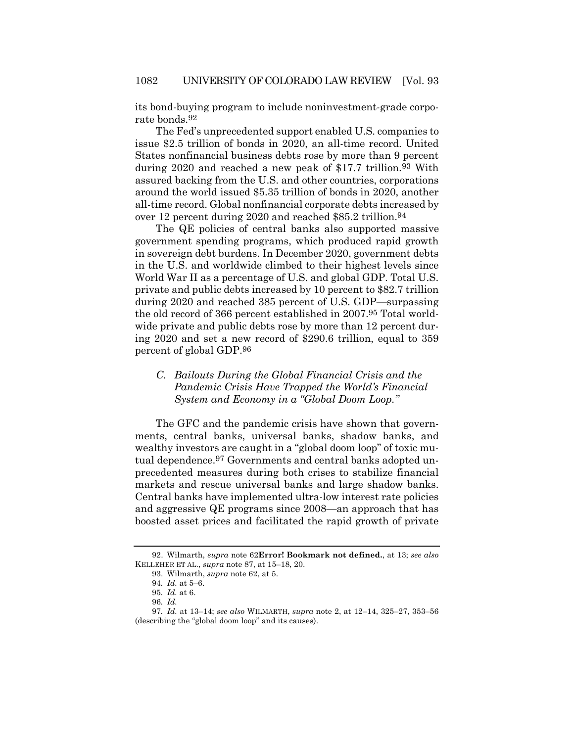its bond-buying program to include noninvestment-grade corporate bonds.92

The Fed's unprecedented support enabled U.S. companies to issue \$2.5 trillion of bonds in 2020, an all-time record. United States nonfinancial business debts rose by more than 9 percent during 2020 and reached a new peak of \$17.7 trillion.<sup>93</sup> With assured backing from the U.S. and other countries, corporations around the world issued \$5.35 trillion of bonds in 2020, another all-time record. Global nonfinancial corporate debts increased by over 12 percent during 2020 and reached \$85.2 trillion.94

The QE policies of central banks also supported massive government spending programs, which produced rapid growth in sovereign debt burdens. In December 2020, government debts in the U.S. and worldwide climbed to their highest levels since World War II as a percentage of U.S. and global GDP. Total U.S. private and public debts increased by 10 percent to \$82.7 trillion during 2020 and reached 385 percent of U.S. GDP—surpassing the old record of 366 percent established in 2007.95 Total worldwide private and public debts rose by more than 12 percent during 2020 and set a new record of \$290.6 trillion, equal to 359 percent of global GDP.96

## *C. Bailouts During the Global Financial Crisis and the Pandemic Crisis Have Trapped the World's Financial System and Economy in a "Global Doom Loop."*

The GFC and the pandemic crisis have shown that governments, central banks, universal banks, shadow banks, and wealthy investors are caught in a "global doom loop" of toxic mutual dependence.97 Governments and central banks adopted unprecedented measures during both crises to stabilize financial markets and rescue universal banks and large shadow banks. Central banks have implemented ultra-low interest rate policies and aggressive QE programs since 2008—an approach that has boosted asset prices and facilitated the rapid growth of private

<sup>92.</sup> Wilmarth, *supra* note 62**Error! Bookmark not defined.**, at 13; *see also*  KELLEHER ET AL., *supra* note 87, at 15–18, 20.

<sup>93.</sup> Wilmarth, *supra* note 62, at 5.

<sup>94</sup>*. Id.* at 5–6.

<sup>95</sup>*. Id.* at 6.

<sup>96</sup>*. Id.*

<sup>97</sup>*. Id.* at 13–14; *see also* WILMARTH, *supra* note 2, at 12–14, 325–27, 353–56 (describing the "global doom loop" and its causes).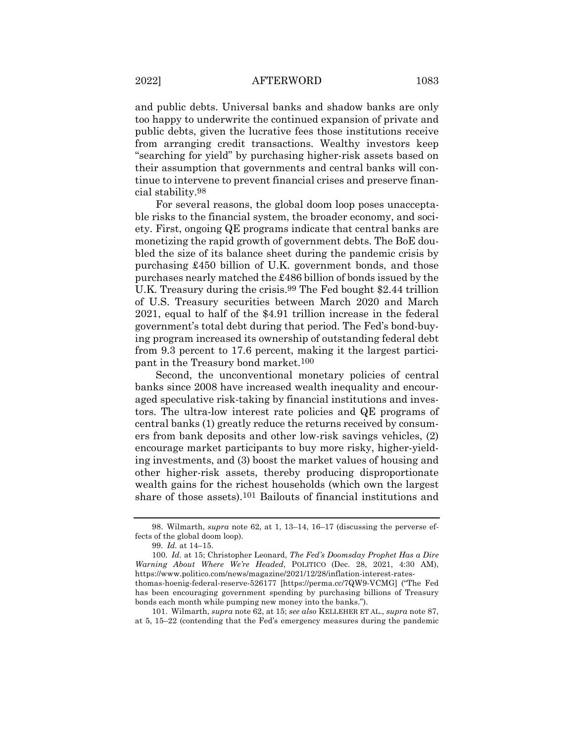and public debts. Universal banks and shadow banks are only too happy to underwrite the continued expansion of private and public debts, given the lucrative fees those institutions receive from arranging credit transactions. Wealthy investors keep "searching for yield" by purchasing higher-risk assets based on their assumption that governments and central banks will continue to intervene to prevent financial crises and preserve financial stability.98

For several reasons, the global doom loop poses unacceptable risks to the financial system, the broader economy, and society. First, ongoing QE programs indicate that central banks are monetizing the rapid growth of government debts. The BoE doubled the size of its balance sheet during the pandemic crisis by purchasing £450 billion of U.K. government bonds, and those purchases nearly matched the £486 billion of bonds issued by the U.K. Treasury during the crisis.<sup>99</sup> The Fed bought \$2.44 trillion of U.S. Treasury securities between March 2020 and March 2021, equal to half of the \$4.91 trillion increase in the federal government's total debt during that period. The Fed's bond-buying program increased its ownership of outstanding federal debt from 9.3 percent to 17.6 percent, making it the largest participant in the Treasury bond market.100

Second, the unconventional monetary policies of central banks since 2008 have increased wealth inequality and encouraged speculative risk-taking by financial institutions and investors. The ultra-low interest rate policies and QE programs of central banks (1) greatly reduce the returns received by consumers from bank deposits and other low-risk savings vehicles, (2) encourage market participants to buy more risky, higher-yielding investments, and (3) boost the market values of housing and other higher-risk assets, thereby producing disproportionate wealth gains for the richest households (which own the largest share of those assets).101 Bailouts of financial institutions and

<sup>98.</sup> Wilmarth, *supra* note 62, at 1, 13–14, 16–17 (discussing the perverse effects of the global doom loop).

<sup>99</sup>*. Id.* at 14–15.

<sup>100</sup>*. Id.* at 15; Christopher Leonard, *The Fed's Doomsday Prophet Has a Dire Warning About Where We're Headed*, POLITICO (Dec. 28, 2021, 4:30 AM), https://www.politico.com/news/magazine/2021/12/28/inflation-interest-rates-

thomas-hoenig-federal-reserve-526177 [https://perma.cc/7QW9-VCMG] ("The Fed has been encouraging government spending by purchasing billions of Treasury bonds each month while pumping new money into the banks.").

<sup>101.</sup> Wilmarth, *supra* note 62, at 15; *see also* KELLEHER ET AL., *supra* note 87, at 5, 15–22 (contending that the Fed's emergency measures during the pandemic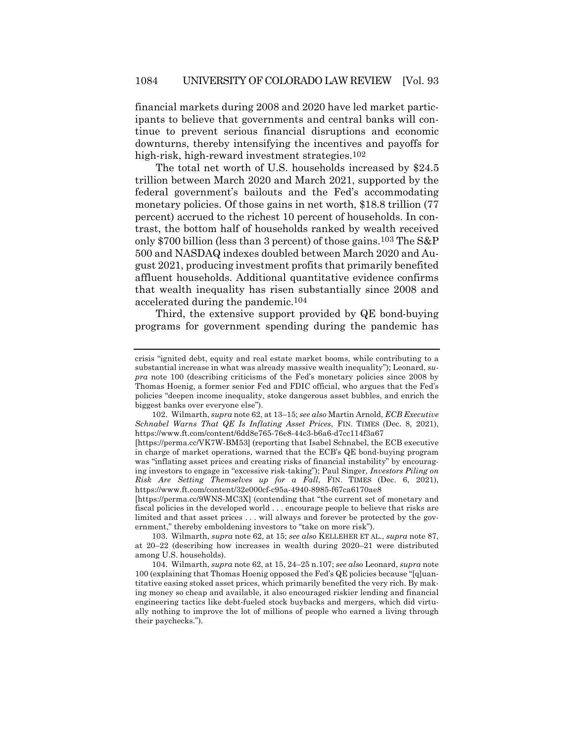financial markets during 2008 and 2020 have led market participants to believe that governments and central banks will continue to prevent serious financial disruptions and economic downturns, thereby intensifying the incentives and payoffs for high-risk, high-reward investment strategies.<sup>102</sup>

The total net worth of U.S. households increased by \$24.5 trillion between March 2020 and March 2021, supported by the federal government's bailouts and the Fed's accommodating monetary policies. Of those gains in net worth, \$18.8 trillion (77 percent) accrued to the richest 10 percent of households. In contrast, the bottom half of households ranked by wealth received only \$700 billion (less than 3 percent) of those gains.103 The S&P 500 and NASDAQ indexes doubled between March 2020 and August 2021, producing investment profits that primarily benefited affluent households. Additional quantitative evidence confirms that wealth inequality has risen substantially since 2008 and accelerated during the pandemic.104

Third, the extensive support provided by QE bond-buying programs for government spending during the pandemic has

102. Wilmarth, *supra* note 62, at 13–15; *see also* Martin Arnold, *ECB Executive Schnabel Warns That QE Is Inflating Asset Prices*, FIN. TIMES (Dec. 8, 2021), https://www.ft.com/content/6dd8e765-76e8-44c3-b6a6-d7cc114f3a67

[https://perma.cc/9WNS-MC3X] (contending that "the current set of monetary and fiscal policies in the developed world . . . encourage people to believe that risks are limited and that asset prices . . . will always and forever be protected by the government," thereby emboldening investors to "take on more risk").

103. Wilmarth, *supra* note 62, at 15; *see also* KELLEHER ET AL., *supra* note 87, at 20–22 (describing how increases in wealth during 2020–21 were distributed among U.S. households).

104. Wilmarth, *supra* note 62, at 15, 24–25 n.107; *see also* Leonard, *supra* note 100 (explaining that Thomas Hoenig opposed the Fed's QE policies because "[q]uantitative easing stoked asset prices, which primarily benefited the very rich. By making money so cheap and available, it also encouraged riskier lending and financial engineering tactics like debt-fueled stock buybacks and mergers, which did virtually nothing to improve the lot of millions of people who earned a living through their paychecks.").

crisis "ignited debt, equity and real estate market booms, while contributing to a substantial increase in what was already massive wealth inequality"); Leonard, *supra* note 100 (describing criticisms of the Fed's monetary policies since 2008 by Thomas Hoenig, a former senior Fed and FDIC official, who argues that the Fed's policies "deepen income inequality, stoke dangerous asset bubbles, and enrich the biggest banks over everyone else").

<sup>[</sup>https://perma.cc/VK7W-BM53] (reporting that Isabel Schnabel, the ECB executive in charge of market operations, warned that the ECB's QE bond-buying program was "inflating asset prices and creating risks of financial instability" by encouraging investors to engage in "excessive risk-taking"); Paul Singer, *Investors Piling on Risk Are Setting Themselves up for a Fall*, FIN. TIMES (Dec. 6, 2021), https://www.ft.com/content/32e000cf-c95a-4940-8985-f67ca6170ae8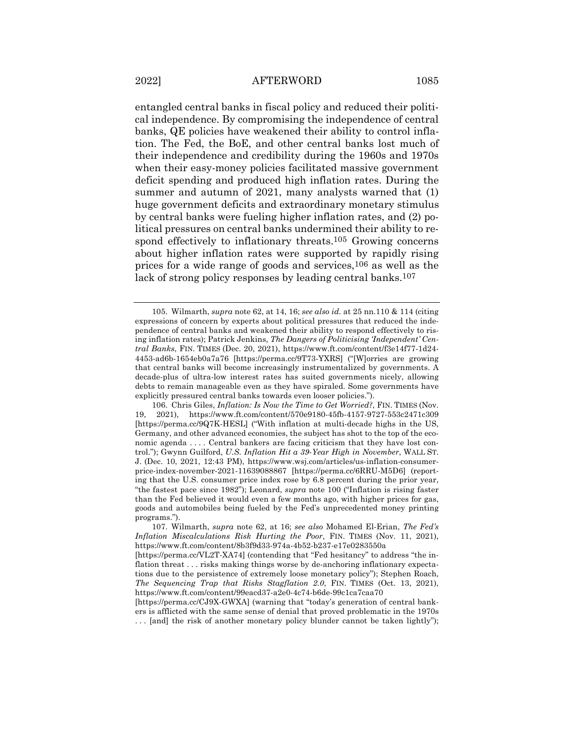entangled central banks in fiscal policy and reduced their political independence. By compromising the independence of central banks, QE policies have weakened their ability to control inflation. The Fed, the BoE, and other central banks lost much of their independence and credibility during the 1960s and 1970s when their easy-money policies facilitated massive government deficit spending and produced high inflation rates. During the summer and autumn of 2021, many analysts warned that (1) huge government deficits and extraordinary monetary stimulus by central banks were fueling higher inflation rates, and (2) political pressures on central banks undermined their ability to respond effectively to inflationary threats.<sup>105</sup> Growing concerns about higher inflation rates were supported by rapidly rising prices for a wide range of goods and services,106 as well as the lack of strong policy responses by leading central banks.<sup>107</sup>

<sup>105.</sup> Wilmarth, *supra* note 62, at 14, 16; *see also id.* at 25 nn.110 & 114 (citing expressions of concern by experts about political pressures that reduced the independence of central banks and weakened their ability to respond effectively to rising inflation rates); Patrick Jenkins, *The Dangers of Politicising 'Independent' Central Banks*, FIN. TIMES (Dec. 20, 2021), https://www.ft.com/content/f3e14f77-1d24- 4453-ad6b-1654eb0a7a76 [https://perma.cc/9T73-YXRS] ("[W]orries are growing that central banks will become increasingly instrumentalized by governments. A decade-plus of ultra-low interest rates has suited governments nicely, allowing debts to remain manageable even as they have spiraled. Some governments have explicitly pressured central banks towards even looser policies.").

<sup>106.</sup> Chris Giles, *Inflation: Is Now the Time to Get Worried?*, FIN. TIMES (Nov. 19, 2021), https://www.ft.com/content/570e9180-45fb-4157-9727-553c2471c309 [https://perma.cc/9Q7K-HESL] ("With inflation at multi-decade highs in the US, Germany, and other advanced economies, the subject has shot to the top of the economic agenda . . . . Central bankers are facing criticism that they have lost control."); Gwynn Guilford, *U.S. Inflation Hit a 39-Year High in November*, WALL ST. J. (Dec. 10, 2021, 12:43 PM), https://www.wsj.com/articles/us-inflation-consumerprice-index-november-2021-11639088867 [https://perma.cc/6RRU-M5D6] (reporting that the U.S. consumer price index rose by 6.8 percent during the prior year, "the fastest pace since 1982"); Leonard, *supra* note 100 ("Inflation is rising faster than the Fed believed it would even a few months ago, with higher prices for gas, goods and automobiles being fueled by the Fed's unprecedented money printing programs.").

<sup>107.</sup> Wilmarth, *supra* note 62, at 16; *see also* Mohamed El-Erian, *The Fed's Inflation Miscalculations Risk Hurting the Poor*, FIN. TIMES (Nov. 11, 2021), https://www.ft.com/content/8b3f9d33-974a-4b52-b237-e17e0283550a

<sup>[</sup>https://perma.cc/VL2T-XA74] (contending that "Fed hesitancy" to address "the inflation threat . . . risks making things worse by de-anchoring inflationary expectations due to the persistence of extremely loose monetary policy"); Stephen Roach, *The Sequencing Trap that Risks Stagflation 2.0*, FIN. TIMES (Oct. 13, 2021), https://www.ft.com/content/99eacd37-a2e0-4c74-b6de-99c1ca7caa70

<sup>[</sup>https://perma.cc/CJ9X-GWXA] (warning that "today's generation of central bankers is afflicted with the same sense of denial that proved problematic in the 1970s . . . [and] the risk of another monetary policy blunder cannot be taken lightly");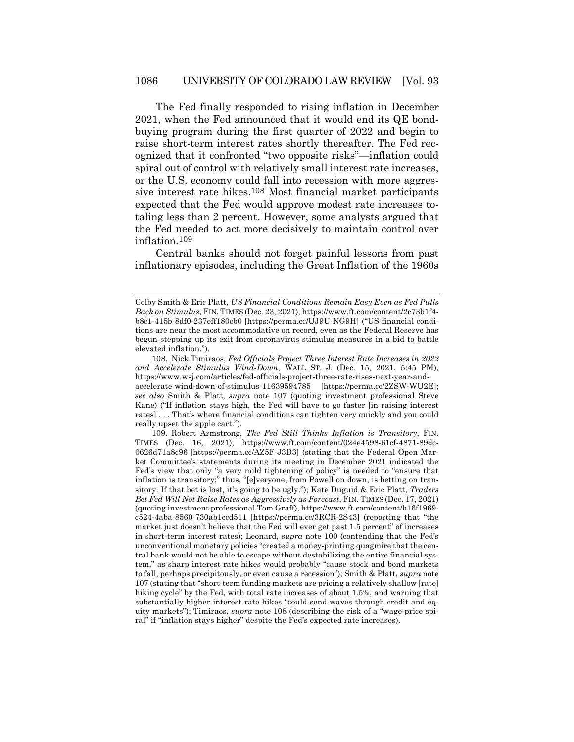The Fed finally responded to rising inflation in December 2021, when the Fed announced that it would end its QE bondbuying program during the first quarter of 2022 and begin to raise short-term interest rates shortly thereafter. The Fed recognized that it confronted "two opposite risks"—inflation could spiral out of control with relatively small interest rate increases, or the U.S. economy could fall into recession with more aggressive interest rate hikes.108 Most financial market participants expected that the Fed would approve modest rate increases totaling less than 2 percent. However, some analysts argued that the Fed needed to act more decisively to maintain control over inflation.109

Central banks should not forget painful lessons from past inflationary episodes, including the Great Inflation of the 1960s

Colby Smith & Eric Platt, *US Financial Conditions Remain Easy Even as Fed Pulls Back on Stimulus*, FIN. TIMES (Dec. 23, 2021), https://www.ft.com/content/2c73b1f4 b8c1-415b-8df0-237eff180cb0 [https://perma.cc/UJ9U-NG9H] ("US financial conditions are near the most accommodative on record, even as the Federal Reserve has begun stepping up its exit from coronavirus stimulus measures in a bid to battle elevated inflation.").

<sup>108.</sup> Nick Timiraos, *Fed Officials Project Three Interest Rate Increases in 2022 and Accelerate Stimulus Wind-Down*, WALL ST. J. (Dec. 15, 2021, 5:45 PM), https://www.wsj.com/articles/fed-officials-project-three-rate-rises-next-year-andaccelerate-wind-down-of-stimulus-11639594785 [https://perma.cc/2ZSW-WU2E]; *see also* Smith & Platt, *supra* note 107 (quoting investment professional Steve Kane) ("If inflation stays high, the Fed will have to go faster [in raising interest rates] . . . That's where financial conditions can tighten very quickly and you could really upset the apple cart.").

<sup>109.</sup> Robert Armstrong, *The Fed Still Thinks Inflation is Transitory*, FIN. TIMES (Dec. 16, 2021), https://www.ft.com/content/024e4598-61cf-4871-89dc-0626d71a8c96 [https://perma.cc/AZ5F-J3D3] (stating that the Federal Open Market Committee's statements during its meeting in December 2021 indicated the Fed's view that only "a very mild tightening of policy" is needed to "ensure that inflation is transitory;" thus, "[e]veryone, from Powell on down, is betting on transitory. If that bet is lost, it's going to be ugly."); Kate Duguid & Eric Platt, *Traders Bet Fed Will Not Raise Rates as Aggressively as Forecast*, FIN. TIMES (Dec. 17, 2021) (quoting investment professional Tom Graff), https://www.ft.com/content/b16f1969 c524-4aba-8560-730ab1ccd511 [https://perma.cc/3RCR-2S43] (reporting that "the market just doesn't believe that the Fed will ever get past 1.5 percent" of increases in short-term interest rates); Leonard, *supra* note 100 (contending that the Fed's unconventional monetary policies "created a money-printing quagmire that the central bank would not be able to escape without destabilizing the entire financial system," as sharp interest rate hikes would probably "cause stock and bond markets to fall, perhaps precipitously, or even cause a recession"); Smith & Platt, *supra* note 107 (stating that "short-term funding markets are pricing a relatively shallow [rate] hiking cycle" by the Fed, with total rate increases of about 1.5%, and warning that substantially higher interest rate hikes "could send waves through credit and equity markets"); Timiraos, *supra* note 108 (describing the risk of a "wage-price spiral" if "inflation stays higher" despite the Fed's expected rate increases).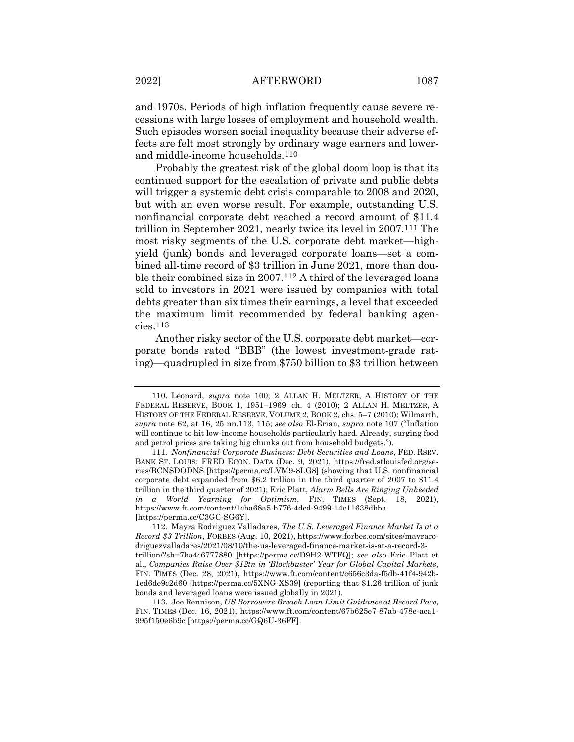and 1970s. Periods of high inflation frequently cause severe recessions with large losses of employment and household wealth. Such episodes worsen social inequality because their adverse effects are felt most strongly by ordinary wage earners and lowerand middle-income households.110

Probably the greatest risk of the global doom loop is that its continued support for the escalation of private and public debts will trigger a systemic debt crisis comparable to 2008 and 2020, but with an even worse result. For example, outstanding U.S. nonfinancial corporate debt reached a record amount of \$11.4 trillion in September 2021, nearly twice its level in 2007.111 The most risky segments of the U.S. corporate debt market—highyield (junk) bonds and leveraged corporate loans—set a combined all-time record of \$3 trillion in June 2021, more than double their combined size in 2007.112 A third of the leveraged loans sold to investors in 2021 were issued by companies with total debts greater than six times their earnings, a level that exceeded the maximum limit recommended by federal banking agencies.113

Another risky sector of the U.S. corporate debt market—corporate bonds rated "BBB" (the lowest investment-grade rating)—quadrupled in size from \$750 billion to \$3 trillion between

<sup>110.</sup> Leonard, *supra* note 100; 2 ALLAN H. MELTZER, A HISTORY OF THE FEDERAL RESERVE, BOOK 1, 1951–1969, ch. 4 (2010); 2 ALLAN H. MELTZER, A HISTORY OF THE FEDERAL RESERVE, VOLUME 2, BOOK 2, chs. 5–7 (2010); Wilmarth, *supra* note 62, at 16, 25 nn.113, 115; *see also* El-Erian, *supra* note 107 ("Inflation will continue to hit low-income households particularly hard. Already, surging food and petrol prices are taking big chunks out from household budgets.").

<sup>111</sup>*. Nonfinancial Corporate Business: Debt Securities and Loans*, FED. RSRV. BANK ST. LOUIS: FRED ECON. DATA (Dec. 9, 2021), https://fred.stlouisfed.org/series/BCNSDODNS [https://perma.cc/LVM9-8LG8] (showing that U.S. nonfinancial corporate debt expanded from \$6.2 trillion in the third quarter of 2007 to \$11.4 trillion in the third quarter of 2021); Eric Platt, *Alarm Bells Are Ringing Unheeded in a World Yearning for Optimism*, FIN. TIMES (Sept. 18, 2021), https://www.ft.com/content/1cba68a5-b776-4dcd-9499-14c11638dbba [https://perma.cc/C3GC-SG6Y].

<sup>112.</sup> Mayra Rodriguez Valladares, *The U.S. Leveraged Finance Market Is at a Record \$3 Trillion*, FORBES (Aug. 10, 2021), https://www.forbes.com/sites/mayrarodriguezvalladares/2021/08/10/the-us-leveraged-finance-market-is-at-a-record-3 trillion/?sh=7ba4c6777880 [https://perma.cc/D9H2-WTFQ]; *see also* Eric Platt et al., *Companies Raise Over \$12tn in 'Blockbuster' Year for Global Capital Markets*, FIN. TIMES (Dec. 28, 2021), https://www.ft.com/content/c656c3da-f5db-41f4-942b-1ed6de9c2d60 [https://perma.cc/5XNG-XS39] (reporting that \$1.26 trillion of junk bonds and leveraged loans were issued globally in 2021).

<sup>113.</sup> Joe Rennison, *US Borrowers Breach Loan Limit Guidance at Record Pace*, FIN. TIMES (Dec. 16, 2021), https://www.ft.com/content/67b625e7-87ab-478e-aca1- 995f150e6b9c [https://perma.cc/GQ6U-36FF].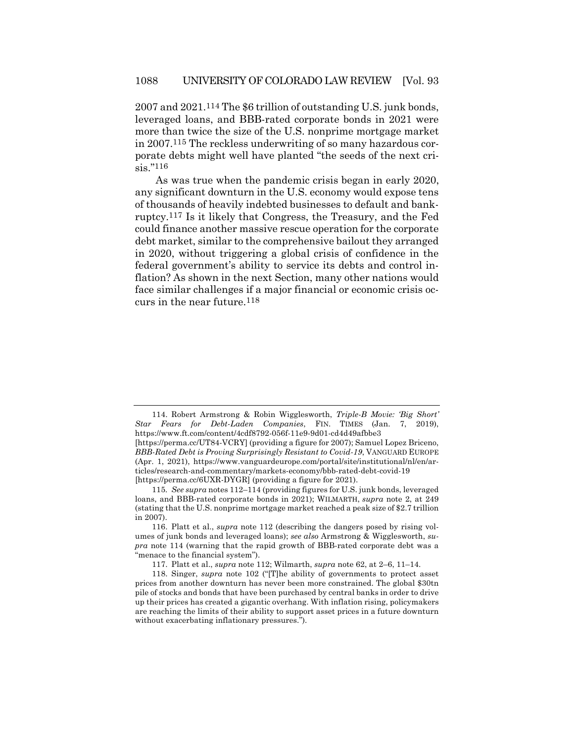2007 and 2021.114 The \$6 trillion of outstanding U.S. junk bonds, leveraged loans, and BBB-rated corporate bonds in 2021 were more than twice the size of the U.S. nonprime mortgage market in 2007.115 The reckless underwriting of so many hazardous corporate debts might well have planted "the seeds of the next crisis."116

As was true when the pandemic crisis began in early 2020, any significant downturn in the U.S. economy would expose tens of thousands of heavily indebted businesses to default and bankruptcy.117 Is it likely that Congress, the Treasury, and the Fed could finance another massive rescue operation for the corporate debt market, similar to the comprehensive bailout they arranged in 2020, without triggering a global crisis of confidence in the federal government's ability to service its debts and control inflation? As shown in the next Section, many other nations would face similar challenges if a major financial or economic crisis occurs in the near future.118

<sup>114.</sup> Robert Armstrong & Robin Wigglesworth, *Triple-B Movie: 'Big Short' Star Fears for Debt-Laden Companies*, FIN. TIMES (Jan. 7, 2019), https://www.ft.com/content/4cdf8792-056f-11e9-9d01-cd4d49afbbe3

<sup>[</sup>https://perma.cc/UT84-VCRY] (providing a figure for 2007); Samuel Lopez Briceno, *BBB-Rated Debt is Proving Surprisingly Resistant to Covid-19*, VANGUARD EUROPE (Apr. 1, 2021), https://www.vanguardeurope.com/portal/site/institutional/nl/en/articles/research-and-commentary/markets-economy/bbb-rated-debt-covid-19 [https://perma.cc/6UXR-DYGR] (providing a figure for 2021).

<sup>115</sup>*. See supra* notes 112–114 (providing figures for U.S. junk bonds, leveraged loans, and BBB-rated corporate bonds in 2021); WILMARTH, *supra* note 2, at 249 (stating that the U.S. nonprime mortgage market reached a peak size of \$2.7 trillion in 2007).

<sup>116.</sup> Platt et al., *supra* note 112 (describing the dangers posed by rising volumes of junk bonds and leveraged loans); *see also* Armstrong & Wigglesworth, *supra* note 114 (warning that the rapid growth of BBB-rated corporate debt was a "menace to the financial system").

<sup>117.</sup> Platt et al., *supra* note 112; Wilmarth, *supra* note 62, at 2–6, 11–14.

<sup>118.</sup> Singer, *supra* note 102 ("[T]he ability of governments to protect asset prices from another downturn has never been more constrained. The global \$30tn pile of stocks and bonds that have been purchased by central banks in order to drive up their prices has created a gigantic overhang. With inflation rising, policymakers are reaching the limits of their ability to support asset prices in a future downturn without exacerbating inflationary pressures.").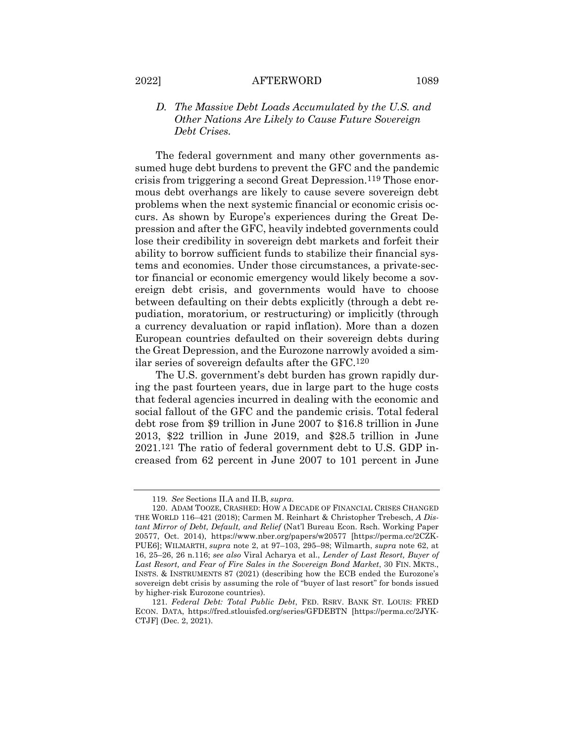## *D. The Massive Debt Loads Accumulated by the U.S. and Other Nations Are Likely to Cause Future Sovereign Debt Crises.*

The federal government and many other governments assumed huge debt burdens to prevent the GFC and the pandemic crisis from triggering a second Great Depression.119 Those enormous debt overhangs are likely to cause severe sovereign debt problems when the next systemic financial or economic crisis occurs. As shown by Europe's experiences during the Great Depression and after the GFC, heavily indebted governments could lose their credibility in sovereign debt markets and forfeit their ability to borrow sufficient funds to stabilize their financial systems and economies. Under those circumstances, a private-sector financial or economic emergency would likely become a sovereign debt crisis, and governments would have to choose between defaulting on their debts explicitly (through a debt repudiation, moratorium, or restructuring) or implicitly (through a currency devaluation or rapid inflation). More than a dozen European countries defaulted on their sovereign debts during the Great Depression, and the Eurozone narrowly avoided a similar series of sovereign defaults after the GFC.120

The U.S. government's debt burden has grown rapidly during the past fourteen years, due in large part to the huge costs that federal agencies incurred in dealing with the economic and social fallout of the GFC and the pandemic crisis. Total federal debt rose from \$9 trillion in June 2007 to \$16.8 trillion in June 2013, \$22 trillion in June 2019, and \$28.5 trillion in June 2021.121 The ratio of federal government debt to U.S. GDP increased from 62 percent in June 2007 to 101 percent in June

<sup>119</sup>*. See* Sections II.A and II.B, *supra*.

<sup>120.</sup> ADAM TOOZE, CRASHED: HOW A DECADE OF FINANCIAL CRISES CHANGED THE WORLD 116–421 (2018); Carmen M. Reinhart & Christopher Trebesch, *A Distant Mirror of Debt, Default, and Relief* (Nat'l Bureau Econ. Rsch. Working Paper 20577, Oct. 2014), https://www.nber.org/papers/w20577 [https://perma.cc/2CZK-PUE6]; WILMARTH, *supra* note 2, at 97–103, 295–98; Wilmarth, *supra* note 62, at 16, 25–26, 26 n.116; *see also* Viral Acharya et al., *Lender of Last Resort, Buyer of Last Resort, and Fear of Fire Sales in the Sovereign Bond Market*, 30 FIN. MKTS., INSTS. & INSTRUMENTS 87 (2021) (describing how the ECB ended the Eurozone's sovereign debt crisis by assuming the role of "buyer of last resort" for bonds issued by higher-risk Eurozone countries).

<sup>121</sup>*. Federal Debt: Total Public Debt*, FED. RSRV. BANK ST. LOUIS: FRED ECON. DATA, https://fred.stlouisfed.org/series/GFDEBTN [https://perma.cc/2JYK-CTJF] (Dec. 2, 2021).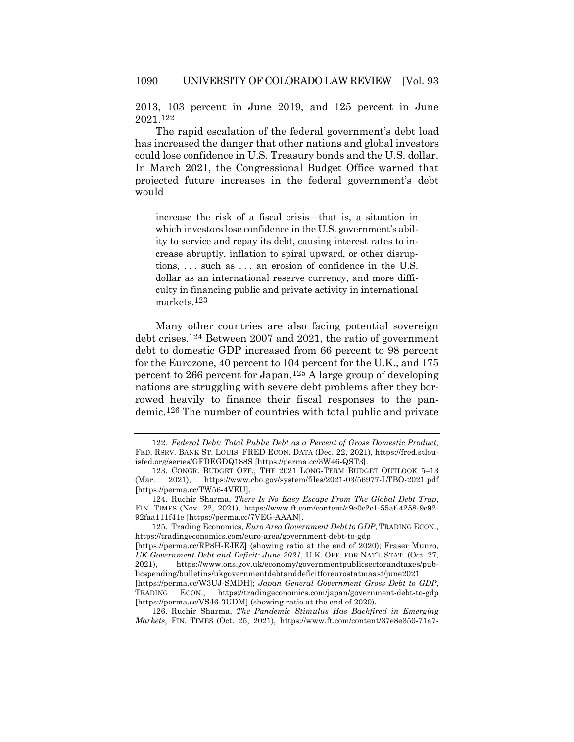2013, 103 percent in June 2019, and 125 percent in June 2021.122

The rapid escalation of the federal government's debt load has increased the danger that other nations and global investors could lose confidence in U.S. Treasury bonds and the U.S. dollar. In March 2021, the Congressional Budget Office warned that projected future increases in the federal government's debt would

increase the risk of a fiscal crisis—that is, a situation in which investors lose confidence in the U.S. government's ability to service and repay its debt, causing interest rates to increase abruptly, inflation to spiral upward, or other disruptions, . . . such as . . . an erosion of confidence in the U.S. dollar as an international reserve currency, and more difficulty in financing public and private activity in international markets.123

Many other countries are also facing potential sovereign debt crises.124 Between 2007 and 2021, the ratio of government debt to domestic GDP increased from 66 percent to 98 percent for the Eurozone, 40 percent to 104 percent for the U.K., and 175 percent to 266 percent for Japan.125 A large group of developing nations are struggling with severe debt problems after they borrowed heavily to finance their fiscal responses to the pandemic.126 The number of countries with total public and private

126. Ruchir Sharma, *The Pandemic Stimulus Has Backfired in Emerging Markets*, FIN. TIMES (Oct. 25, 2021), https://www.ft.com/content/37e8e350-71a7-

<sup>122</sup>*. Federal Debt: Total Public Debt as a Percent of Gross Domestic Product,* FED. RSRV. BANK ST. LOUIS: FRED ECON. DATA (Dec. 22, 2021), https://fred.stlouisfed.org/series/GFDEGDQ188S [https://perma.cc/3W46-QST3].

<sup>123.</sup> CONGR. BUDGET OFF., THE 2021 LONG-TERM BUDGET OUTLOOK 5–13 (Mar. 2021), https://www.cbo.gov/system/files/2021-03/56977-LTBO-2021.pdf [https://perma.cc/TW56-4VEU].

<sup>124.</sup> Ruchir Sharma, *There Is No Easy Escape From The Global Debt Trap*, FIN. TIMES (Nov. 22, 2021), https://www.ft.com/content/c9e0c2c1-55af-4258-9c92- 92faa111f41e [https://perma.cc/7VEG-AAAN].

<sup>125.</sup> Trading Economics, *Euro Area Government Debt to GDP*, TRADING ECON., https://tradingeconomics.com/euro-area/government-debt-to-gdp

<sup>[</sup>https://perma.cc/RP8H-EJEZ] (showing ratio at the end of 2020); Fraser Munro, *UK Government Debt and Deficit: June 2021*, U.K. OFF. FOR NAT'L STAT. (Oct. 27, 2021), https://www.ons.gov.uk/economy/governmentpublicsectorandtaxes/publicspending/bulletins/ukgovernmentdebtanddeficitforeurostatmaast/june2021

<sup>[</sup>https://perma.cc/W3UJ-SMDH]; *Japan General Government Gross Debt to GDP*, TRADING ECON., https://tradingeconomics.com/japan/government-debt-to-gdp [https://perma.cc/VSJ6-3UDM] (showing ratio at the end of 2020).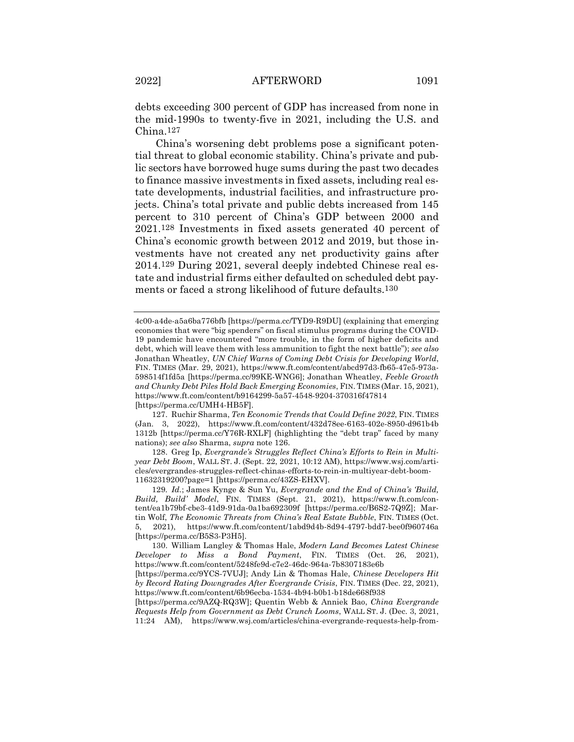debts exceeding 300 percent of GDP has increased from none in the mid-1990s to twenty-five in 2021, including the U.S. and China.127

China's worsening debt problems pose a significant potential threat to global economic stability. China's private and public sectors have borrowed huge sums during the past two decades to finance massive investments in fixed assets, including real estate developments, industrial facilities, and infrastructure projects. China's total private and public debts increased from 145 percent to 310 percent of China's GDP between 2000 and 2021.128 Investments in fixed assets generated 40 percent of China's economic growth between 2012 and 2019, but those investments have not created any net productivity gains after 2014.129 During 2021, several deeply indebted Chinese real estate and industrial firms either defaulted on scheduled debt payments or faced a strong likelihood of future defaults.130

127. Ruchir Sharma, *Ten Economic Trends that Could Define 2022*, FIN. TIMES (Jan. 3, 2022), https://www.ft.com/content/432d78ee-6163-402e-8950-d961b4b 1312b [https://perma.cc/Y76R-RXLF] (highlighting the "debt trap" faced by many nations); *see also* Sharma, *supra* note 126.

128. Greg Ip, *Evergrande's Struggles Reflect China's Efforts to Rein in Multiyear Debt Boom*, WALL ST. J. (Sept. 22, 2021, 10:12 AM), https://www.wsj.com/articles/evergrandes-struggles-reflect-chinas-efforts-to-rein-in-multiyear-debt-boom-11632319200?page=1 [https://perma.cc/43ZS-EHXV].

130. William Langley & Thomas Hale, *Modern Land Becomes Latest Chinese Developer to Miss a Bond Payment*, FIN. TIMES (Oct. 26, 2021), https://www.ft.com/content/5248fe9d-c7e2-46dc-964a-7b8307183e6b

[https://perma.cc/9AZQ-RQ3W]; Quentin Webb & Anniek Bao, *China Evergrande Requests Help from Government as Debt Crunch Looms*, WALL ST. J. (Dec. 3, 2021, 11:24 AM), https://www.wsj.com/articles/china-evergrande-requests-help-from-

<sup>4</sup>c00-a4de-a5a6ba776bfb [https://perma.cc/TYD9-R9DU] (explaining that emerging economies that were "big spenders" on fiscal stimulus programs during the COVID-19 pandemic have encountered "more trouble, in the form of higher deficits and debt, which will leave them with less ammunition to fight the next battle"); *see also*  Jonathan Wheatley, *UN Chief Warns of Coming Debt Crisis for Developing World*, FIN. TIMES (Mar. 29, 2021), https://www.ft.com/content/abcd97d3-fb65-47e5-973a-598514f1fd5a [https://perma.cc/99KE-WNG6]; Jonathan Wheatley, *Feeble Growth and Chunky Debt Piles Hold Back Emerging Economies*, FIN. TIMES (Mar. 15, 2021), https://www.ft.com/content/b9164299-5a57-4548-9204-370316f47814 [https://perma.cc/UMH4-HB5F].

<sup>129</sup>*. Id.*; James Kynge & Sun Yu, *Evergrande and the End of China's 'Build, Build, Build' Model*, FIN. TIMES (Sept. 21, 2021), https://www.ft.com/content/ea1b79bf-cbe3-41d9-91da-0a1ba692309f [https://perma.cc/B6S2-7Q9Z]; Martin Wolf, *The Economic Threats from China's Real Estate Bubble*, FIN. TIMES (Oct. 5, 2021), https://www.ft.com/content/1abd9d4b-8d94-4797-bdd7-bee0f960746a [https://perma.cc/B5S3-P3H5].

<sup>[</sup>https://perma.cc/9YCS-7VUJ]; Andy Lin & Thomas Hale, *Chinese Developers Hit by Record Rating Downgrades After Evergrande Crisis*, FIN. TIMES (Dec. 22, 2021), https://www.ft.com/content/6b96ecba-1534-4b94-b0b1-b18de668f938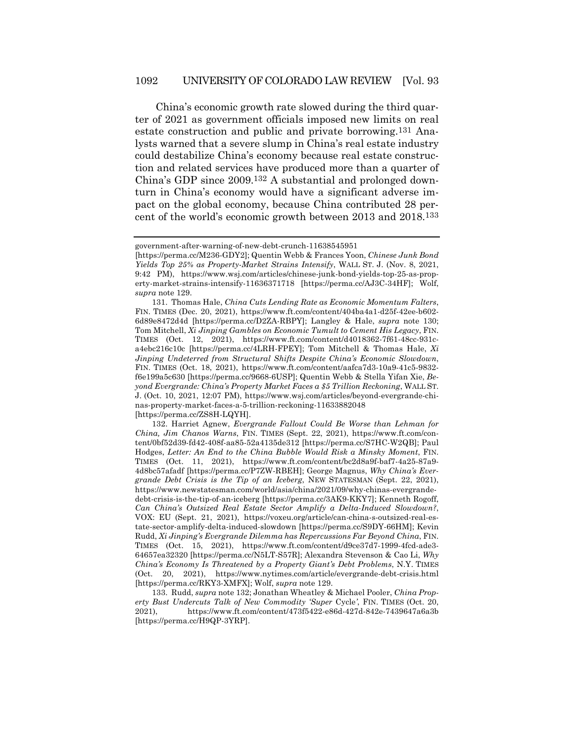China's economic growth rate slowed during the third quarter of 2021 as government officials imposed new limits on real estate construction and public and private borrowing.131 Analysts warned that a severe slump in China's real estate industry could destabilize China's economy because real estate construction and related services have produced more than a quarter of China's GDP since 2009.132 A substantial and prolonged downturn in China's economy would have a significant adverse impact on the global economy, because China contributed 28 percent of the world's economic growth between 2013 and 2018.133

government-after-warning-of-new-debt-crunch-11638545951

<sup>[</sup>https://perma.cc/M236-GDY2]; Quentin Webb & Frances Yoon, *Chinese Junk Bond Yields Top 25% as Property-Market Strains Intensify*, WALL ST. J. (Nov. 8, 2021, 9:42 PM), https://www.wsj.com/articles/chinese-junk-bond-yields-top-25-as-property-market-strains-intensify-11636371718 [https://perma.cc/AJ3C-34HF]; Wolf, *supra* note 129.

<sup>131.</sup> Thomas Hale, *China Cuts Lending Rate as Economic Momentum Falters*, FIN. TIMES (Dec. 20, 2021), https://www.ft.com/content/404ba4a1-d25f-42ee-b602- 6d89e8472d4d [https://perma.cc/D2ZA-RBPY]; Langley & Hale, *supra* note 130; Tom Mitchell, *Xi Jinping Gambles on Economic Tumult to Cement His Legacy*, FIN. TIMES (Oct. 12, 2021), https://www.ft.com/content/d4018362-7f61-48cc-931ca4ebc216c10c [https://perma.cc/4LRH-FPEY]; Tom Mitchell & Thomas Hale, *Xi Jinping Undeterred from Structural Shifts Despite China's Economic Slowdown*, FIN. TIMES (Oct. 18, 2021), https://www.ft.com/content/aafca7d3-10a9-41c5-9832 f6e199a5c630 [https://perma.cc/9668-6USP]; Quentin Webb & Stella Yifan Xie, *Beyond Evergrande: China's Property Market Faces a \$5 Trillion Reckoning*, WALL ST. J. (Oct. 10, 2021, 12:07 PM), https://www.wsj.com/articles/beyond-evergrande-chinas-property-market-faces-a-5-trillion-reckoning-11633882048 [https://perma.cc/ZS8H-LQYH].

<sup>132.</sup> Harriet Agnew, *Evergrande Fallout Could Be Worse than Lehman for China, Jim Chanos Warns*, FIN. TIMES (Sept. 22, 2021), https://www.ft.com/content/0bf52d39-fd42-408f-aa85-52a4135de312 [https://perma.cc/S7HC-W2QB]; Paul Hodges, *Letter: An End to the China Bubble Would Risk a Minsky Moment*, FIN. TIMES (Oct. 11, 2021), https://www.ft.com/content/bc2d8a9f-baf7-4a25-87a9- 4d8bc57afadf [https://perma.cc/P7ZW-RBEH]; George Magnus, *Why China's Evergrande Debt Crisis is the Tip of an Iceberg*, NEW STATESMAN (Sept. 22, 2021), https://www.newstatesman.com/world/asia/china/2021/09/why-chinas-evergrandedebt-crisis-is-the-tip-of-an-iceberg [https://perma.cc/3AK9-KKY7]; Kenneth Rogoff, *Can China's Outsized Real Estate Sector Amplify a Delta-Induced Slowdown?*, VOX: EU (Sept. 21, 2021), https://voxeu.org/article/can-china-s-outsized-real-estate-sector-amplify-delta-induced-slowdown [https://perma.cc/S9DY-66HM]; Kevin Rudd, *Xi Jinping's Evergrande Dilemma has Repercussions Far Beyond China*, FIN. TIMES (Oct. 15, 2021), https://www.ft.com/content/d9ce37d7-1999-4fcd-ade3- 64657ea32320 [https://perma.cc/N5LT-S57R]; Alexandra Stevenson & Cao Li, *Why China's Economy Is Threatened by a Property Giant's Debt Problems*, N.Y. TIMES (Oct. 20, 2021), https://www.nytimes.com/article/evergrande-debt-crisis.html [https://perma.cc/RKY3-XMFX]; Wolf, *supra* note 129.

<sup>133.</sup> Rudd, *supra* note 132; Jonathan Wheatley & Michael Pooler, *China Property Bust Undercuts Talk of New Commodity 'Super* Cycle*'*, FIN. TIMES (Oct. 20, 2021), https://www.ft.com/content/473f5422-e86d-427d-842e-7439647a6a3b [https://perma.cc/H9QP-3YRP].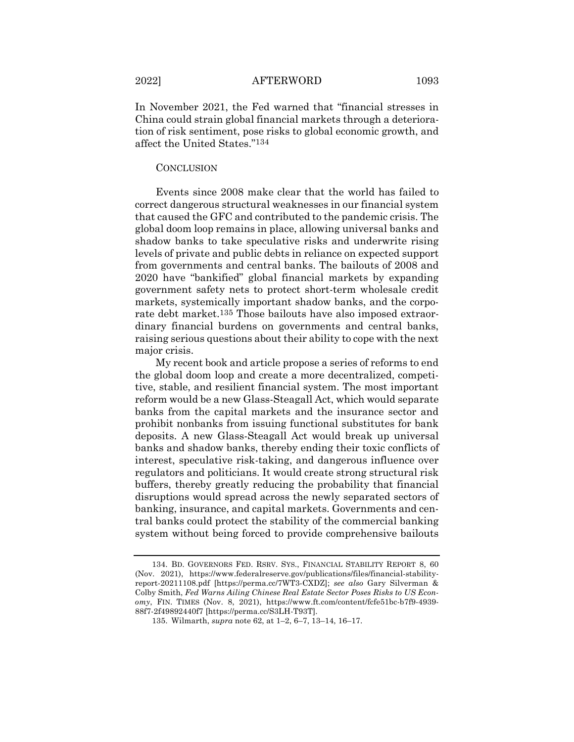In November 2021, the Fed warned that "financial stresses in China could strain global financial markets through a deterioration of risk sentiment, pose risks to global economic growth, and affect the United States."134

#### **CONCLUSION**

Events since 2008 make clear that the world has failed to correct dangerous structural weaknesses in our financial system that caused the GFC and contributed to the pandemic crisis. The global doom loop remains in place, allowing universal banks and shadow banks to take speculative risks and underwrite rising levels of private and public debts in reliance on expected support from governments and central banks. The bailouts of 2008 and 2020 have "bankified" global financial markets by expanding government safety nets to protect short-term wholesale credit markets, systemically important shadow banks, and the corporate debt market.135 Those bailouts have also imposed extraordinary financial burdens on governments and central banks, raising serious questions about their ability to cope with the next major crisis.

My recent book and article propose a series of reforms to end the global doom loop and create a more decentralized, competitive, stable, and resilient financial system. The most important reform would be a new Glass-Steagall Act, which would separate banks from the capital markets and the insurance sector and prohibit nonbanks from issuing functional substitutes for bank deposits. A new Glass-Steagall Act would break up universal banks and shadow banks, thereby ending their toxic conflicts of interest, speculative risk-taking, and dangerous influence over regulators and politicians. It would create strong structural risk buffers, thereby greatly reducing the probability that financial disruptions would spread across the newly separated sectors of banking, insurance, and capital markets. Governments and central banks could protect the stability of the commercial banking system without being forced to provide comprehensive bailouts

<sup>134.</sup> BD. GOVERNORS FED. RSRV. SYS., FINANCIAL STABILITY REPORT 8, 60 (Nov. 2021), https://www.federalreserve.gov/publications/files/financial-stabilityreport-20211108.pdf [https://perma.cc/7WT3-CXDZ]; *see also* Gary Silverman & Colby Smith, *Fed Warns Ailing Chinese Real Estate Sector Poses Risks to US Economy*, FIN. TIMES (Nov. 8, 2021), https://www.ft.com/content/fcfe51bc-b7f9-4939- 88f7-2f49892440f7 [https://perma.cc/S3LH-T93T].

<sup>135.</sup> Wilmarth, *supra* note 62, at 1–2, 6–7, 13–14, 16–17.